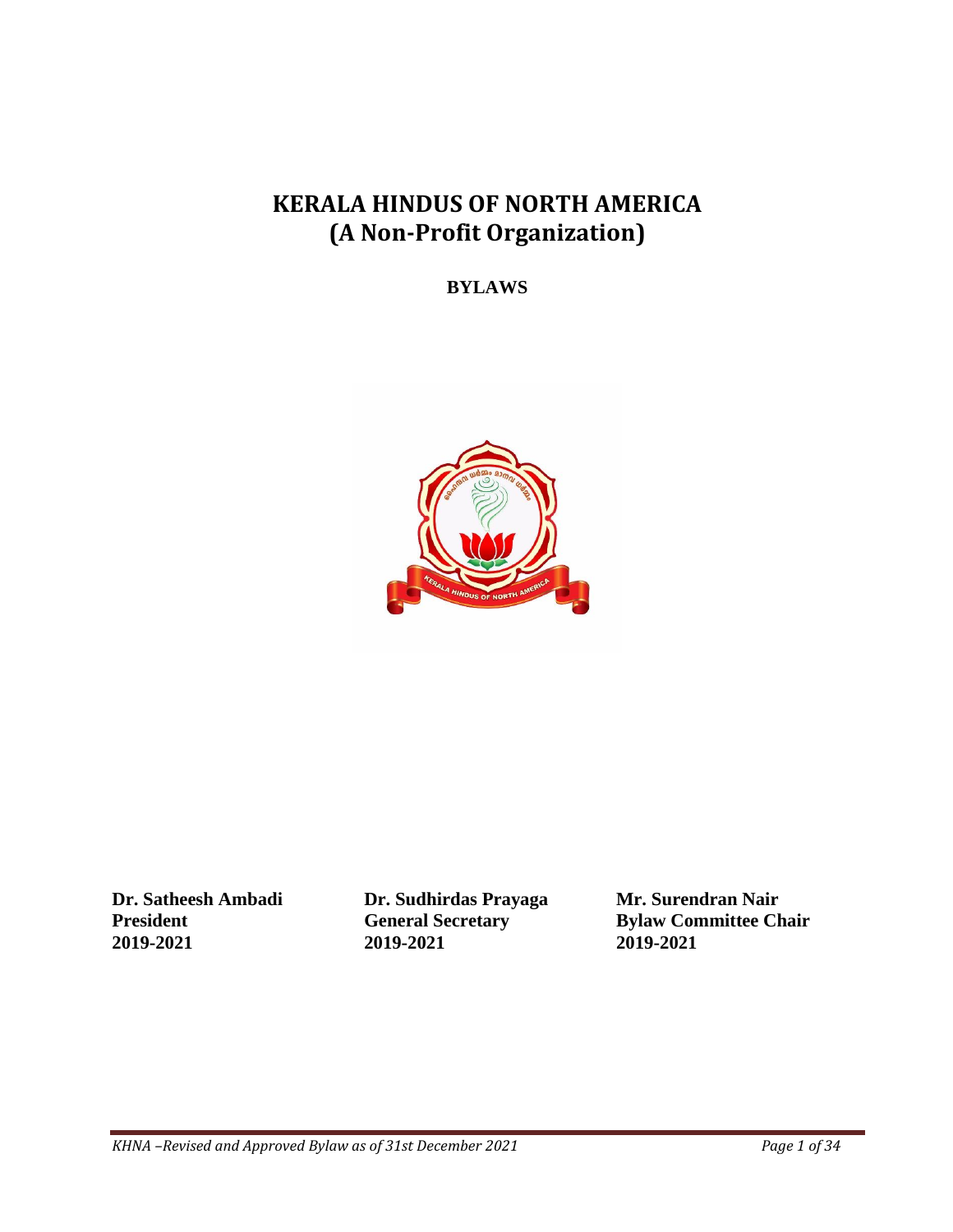# **KERALA HINDUS OF NORTH AMERICA (A Non-Profit Organization)**

**BYLAWS**



**Dr. Satheesh Ambadi Dr. Sudhirdas Prayaga Mr. Surendran Nair 2019-2021 2019-2021 2019-2021**

**President General Secretary Bylaw Committee Chair**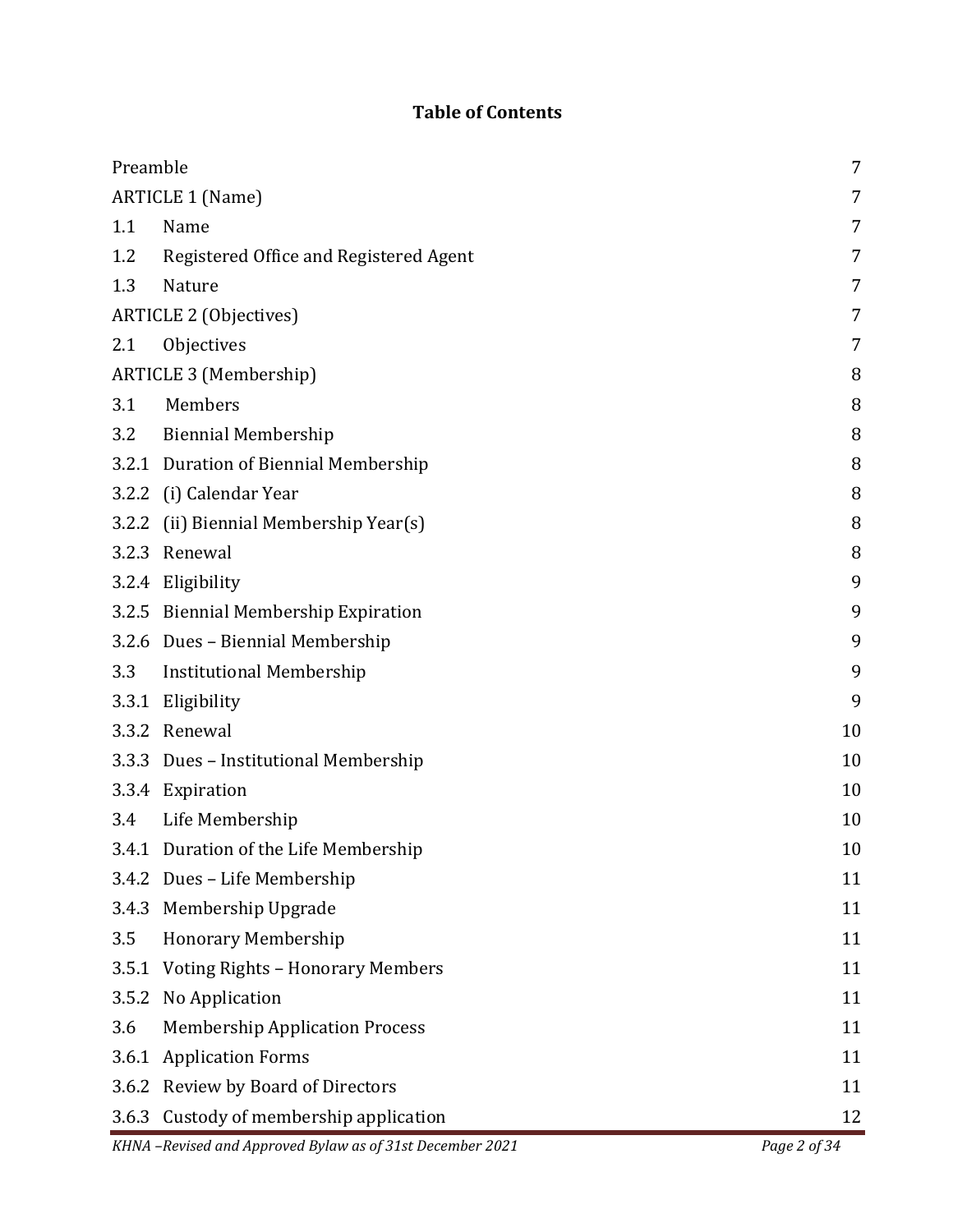## **Table of Contents**

| Preamble                      |                                                           | 7            |
|-------------------------------|-----------------------------------------------------------|--------------|
| <b>ARTICLE 1 (Name)</b>       |                                                           | 7            |
| 1.1                           | Name                                                      | 7            |
| 1.2                           | Registered Office and Registered Agent                    | 7            |
| 1.3                           | Nature                                                    | 7            |
| ARTICLE 2 (Objectives)        |                                                           | 7            |
| 2.1                           | Objectives                                                | 7            |
| <b>ARTICLE 3 (Membership)</b> |                                                           |              |
| 3.1                           | Members                                                   | 8            |
| 3.2                           | <b>Biennial Membership</b>                                | 8            |
|                               | 3.2.1 Duration of Biennial Membership                     | 8            |
|                               | 3.2.2 (i) Calendar Year                                   | 8            |
| 3.2.2                         | (ii) Biennial Membership Year(s)                          | 8            |
|                               | 3.2.3 Renewal                                             | 8            |
|                               | 3.2.4 Eligibility                                         | 9            |
|                               | 3.2.5 Biennial Membership Expiration                      | 9            |
|                               | 3.2.6 Dues - Biennial Membership                          | 9            |
| 3.3                           | <b>Institutional Membership</b>                           | 9            |
|                               | 3.3.1 Eligibility                                         | 9            |
|                               | 3.3.2 Renewal                                             | 10           |
|                               | 3.3.3 Dues - Institutional Membership                     | 10           |
|                               | 3.3.4 Expiration                                          | 10           |
| 3.4                           | Life Membership                                           | 10           |
|                               | 3.4.1 Duration of the Life Membership                     | 10           |
|                               | 3.4.2 Dues - Life Membership                              | 11           |
| 3.4.3                         | Membership Upgrade                                        | 11           |
| 3.5                           | <b>Honorary Membership</b>                                | 11           |
| 3.5.1                         | <b>Voting Rights - Honorary Members</b>                   | 11           |
| 3.5.2                         | No Application                                            | 11           |
| 3.6                           | <b>Membership Application Process</b>                     | 11           |
| 3.6.1                         | <b>Application Forms</b>                                  | 11           |
| 3.6.2                         | Review by Board of Directors                              | 11           |
| 3.6.3                         | Custody of membership application                         | 12           |
|                               | KHNA -Revised and Approved Bylaw as of 31st December 2021 | Page 2 of 34 |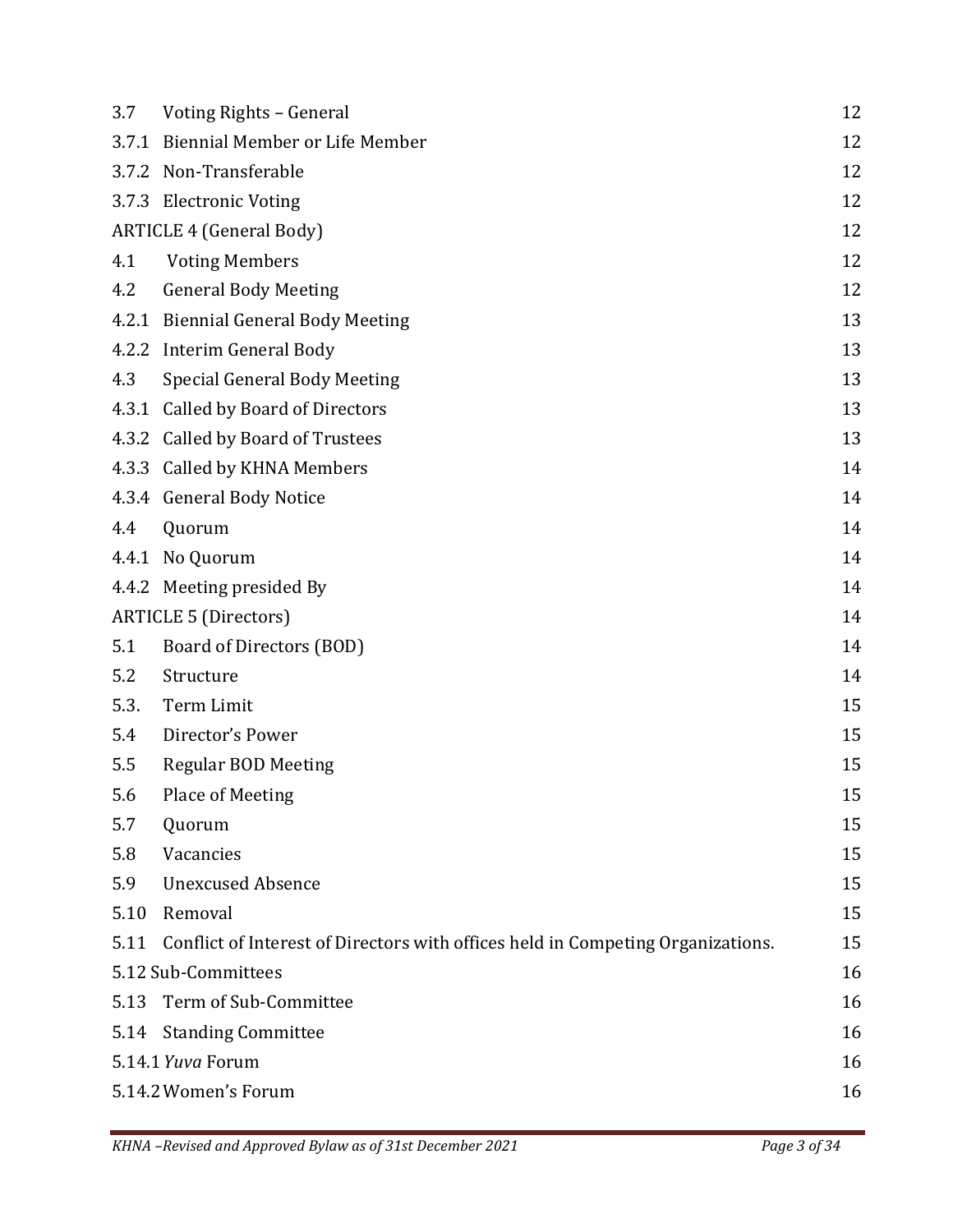| 3.7                  | Voting Rights - General                                                         | 12 |
|----------------------|---------------------------------------------------------------------------------|----|
|                      | 3.7.1 Biennial Member or Life Member                                            | 12 |
|                      | 3.7.2 Non-Transferable                                                          | 12 |
|                      | 3.7.3 Electronic Voting                                                         | 12 |
|                      | <b>ARTICLE 4 (General Body)</b>                                                 |    |
| 4.1                  | <b>Voting Members</b>                                                           | 12 |
| 4.2                  | <b>General Body Meeting</b>                                                     | 12 |
|                      | 4.2.1 Biennial General Body Meeting                                             | 13 |
|                      | 4.2.2 Interim General Body                                                      | 13 |
| 4.3                  | <b>Special General Body Meeting</b>                                             | 13 |
|                      | 4.3.1 Called by Board of Directors                                              | 13 |
|                      | 4.3.2 Called by Board of Trustees                                               | 13 |
|                      | 4.3.3 Called by KHNA Members                                                    | 14 |
|                      | 4.3.4 General Body Notice                                                       | 14 |
| 4.4                  | Quorum                                                                          | 14 |
|                      | 4.4.1 No Quorum                                                                 | 14 |
|                      | 4.4.2 Meeting presided By                                                       | 14 |
|                      | <b>ARTICLE 5 (Directors)</b>                                                    | 14 |
| 5.1                  | Board of Directors (BOD)                                                        | 14 |
| 5.2                  | Structure                                                                       | 14 |
| 5.3.                 | Term Limit                                                                      | 15 |
| 5.4                  | Director's Power                                                                | 15 |
| 5.5                  | <b>Regular BOD Meeting</b>                                                      | 15 |
| 5.6                  | Place of Meeting                                                                | 15 |
| 5.7                  | Quorum                                                                          | 15 |
| 5.8                  | Vacancies                                                                       | 15 |
| 5.9                  | <b>Unexcused Absence</b>                                                        | 15 |
| 5.10                 | Removal                                                                         | 15 |
| 5.11                 | Conflict of Interest of Directors with offices held in Competing Organizations. | 15 |
|                      | 5.12 Sub-Committees                                                             | 16 |
| 5.13                 | Term of Sub-Committee                                                           | 16 |
| 5.14                 | <b>Standing Committee</b>                                                       | 16 |
| 5.14.1 Yuva Forum    |                                                                                 | 16 |
| 5.14.2 Women's Forum |                                                                                 | 16 |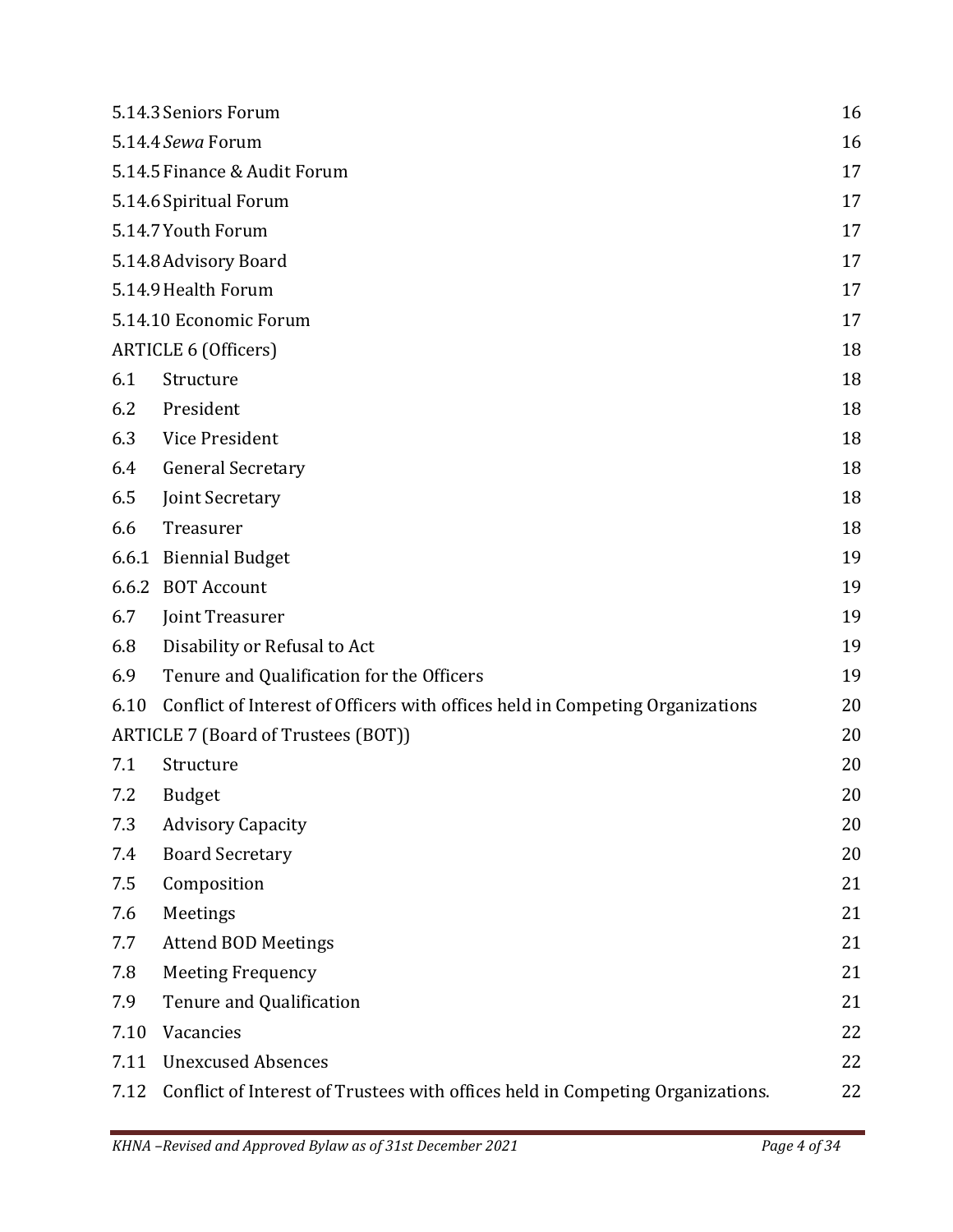|                              | 5.14.3 Seniors Forum                                                           | 16 |
|------------------------------|--------------------------------------------------------------------------------|----|
| 5.14.4 Sewa Forum            |                                                                                | 16 |
| 5.14.5 Finance & Audit Forum |                                                                                | 17 |
| 5.14.6 Spiritual Forum       |                                                                                | 17 |
| 5.14.7 Youth Forum           |                                                                                | 17 |
| 5.14.8 Advisory Board        |                                                                                | 17 |
| 5.14.9 Health Forum          |                                                                                | 17 |
| 5.14.10 Economic Forum       |                                                                                | 17 |
| <b>ARTICLE 6 (Officers)</b>  |                                                                                | 18 |
| 6.1                          | Structure                                                                      | 18 |
| 6.2                          | President                                                                      | 18 |
| 6.3                          | Vice President                                                                 | 18 |
| 6.4                          | <b>General Secretary</b>                                                       | 18 |
| 6.5                          | Joint Secretary                                                                | 18 |
| 6.6                          | Treasurer                                                                      | 18 |
| 6.6.1                        | <b>Biennial Budget</b>                                                         | 19 |
| 6.6.2                        | <b>BOT Account</b>                                                             | 19 |
| 6.7                          | Joint Treasurer                                                                | 19 |
| 6.8                          | Disability or Refusal to Act                                                   | 19 |
| 6.9                          | Tenure and Qualification for the Officers                                      | 19 |
| 6.10                         | Conflict of Interest of Officers with offices held in Competing Organizations  | 20 |
|                              | ARTICLE 7 (Board of Trustees (BOT))                                            | 20 |
| 7.1                          | Structure                                                                      | 20 |
| 7.2                          | <b>Budget</b>                                                                  | 20 |
| 7.3                          | <b>Advisory Capacity</b>                                                       | 20 |
| 7.4                          | <b>Board Secretary</b>                                                         | 20 |
| 7.5                          | Composition                                                                    | 21 |
| 7.6                          | Meetings                                                                       | 21 |
| 7.7                          | <b>Attend BOD Meetings</b>                                                     | 21 |
| 7.8                          | <b>Meeting Frequency</b>                                                       | 21 |
| 7.9                          | Tenure and Qualification                                                       | 21 |
| 7.10                         | Vacancies                                                                      | 22 |
| 7.11                         | <b>Unexcused Absences</b>                                                      | 22 |
| 7.12                         | Conflict of Interest of Trustees with offices held in Competing Organizations. | 22 |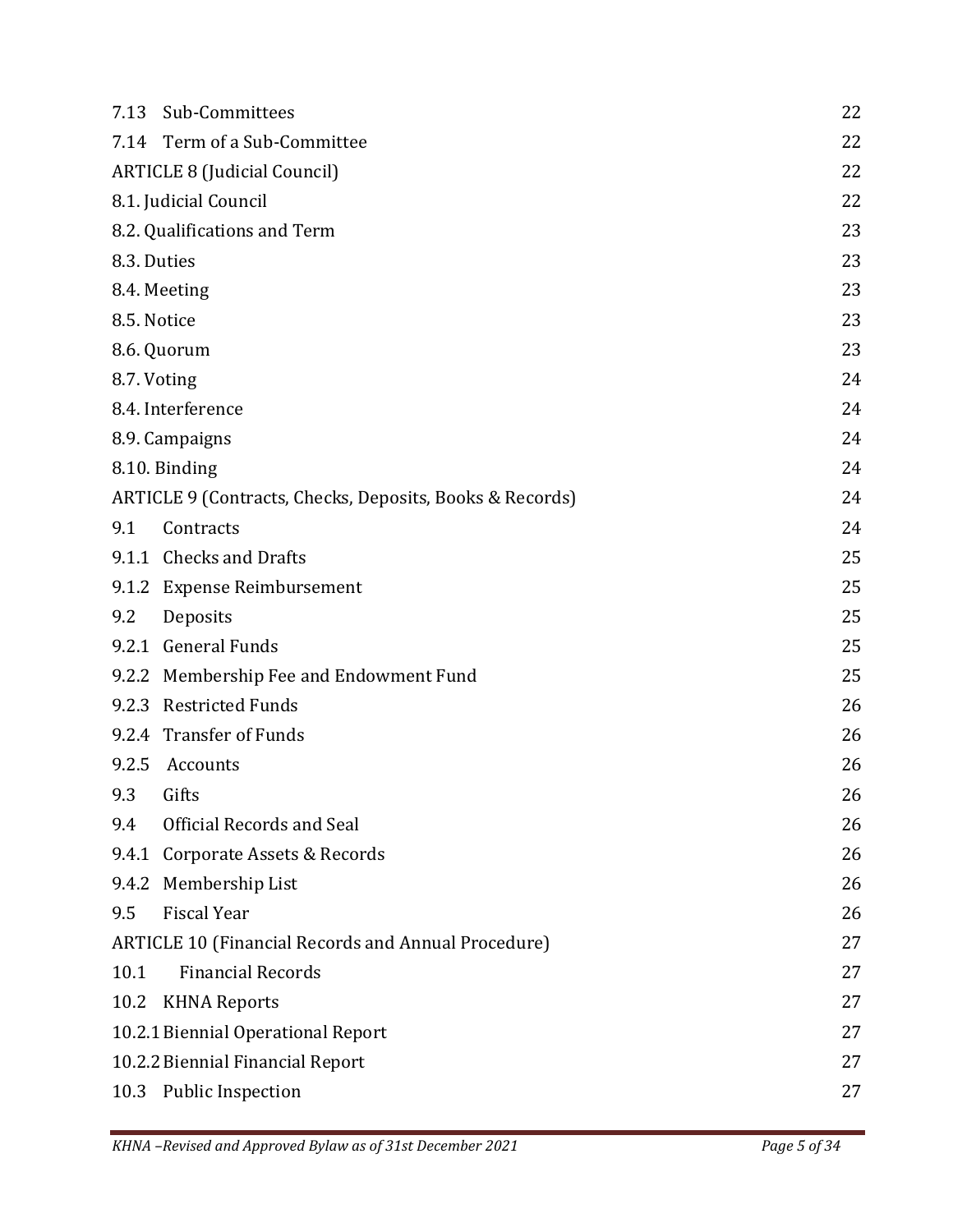| 7.13                                                     | Sub-Committees                                             | 22 |
|----------------------------------------------------------|------------------------------------------------------------|----|
| 7.14                                                     | Term of a Sub-Committee                                    | 22 |
| <b>ARTICLE 8 (Judicial Council)</b>                      |                                                            | 22 |
| 8.1. Judicial Council                                    |                                                            | 22 |
|                                                          | 8.2. Qualifications and Term                               | 23 |
| 8.3. Duties                                              |                                                            | 23 |
| 8.4. Meeting                                             |                                                            | 23 |
| 8.5. Notice                                              |                                                            | 23 |
| 8.6. Quorum                                              |                                                            | 23 |
| 8.7. Voting                                              |                                                            | 24 |
|                                                          | 8.4. Interference                                          | 24 |
|                                                          | 8.9. Campaigns                                             | 24 |
|                                                          | 8.10. Binding                                              | 24 |
| ARTICLE 9 (Contracts, Checks, Deposits, Books & Records) |                                                            | 24 |
| 9.1                                                      | Contracts                                                  | 24 |
|                                                          | 9.1.1 Checks and Drafts                                    | 25 |
|                                                          | 9.1.2 Expense Reimbursement                                | 25 |
| 9.2                                                      | Deposits                                                   | 25 |
|                                                          | 9.2.1 General Funds                                        | 25 |
|                                                          | 9.2.2 Membership Fee and Endowment Fund                    | 25 |
|                                                          | 9.2.3 Restricted Funds                                     | 26 |
|                                                          | 9.2.4 Transfer of Funds                                    | 26 |
|                                                          | 9.2.5 Accounts                                             | 26 |
| 9.3                                                      | Gifts                                                      | 26 |
| 9.4                                                      | Official Records and Seal                                  | 26 |
|                                                          | 9.4.1 Corporate Assets & Records                           | 26 |
|                                                          | 9.4.2 Membership List                                      | 26 |
| 9.5                                                      | <b>Fiscal Year</b>                                         | 26 |
|                                                          | <b>ARTICLE 10 (Financial Records and Annual Procedure)</b> | 27 |
| 10.1                                                     | <b>Financial Records</b>                                   | 27 |
| 10.2                                                     | <b>KHNA Reports</b>                                        | 27 |
|                                                          | 10.2.1 Biennial Operational Report                         | 27 |
| 10.2.2 Biennial Financial Report                         |                                                            | 27 |
|                                                          | 10.3 Public Inspection                                     | 27 |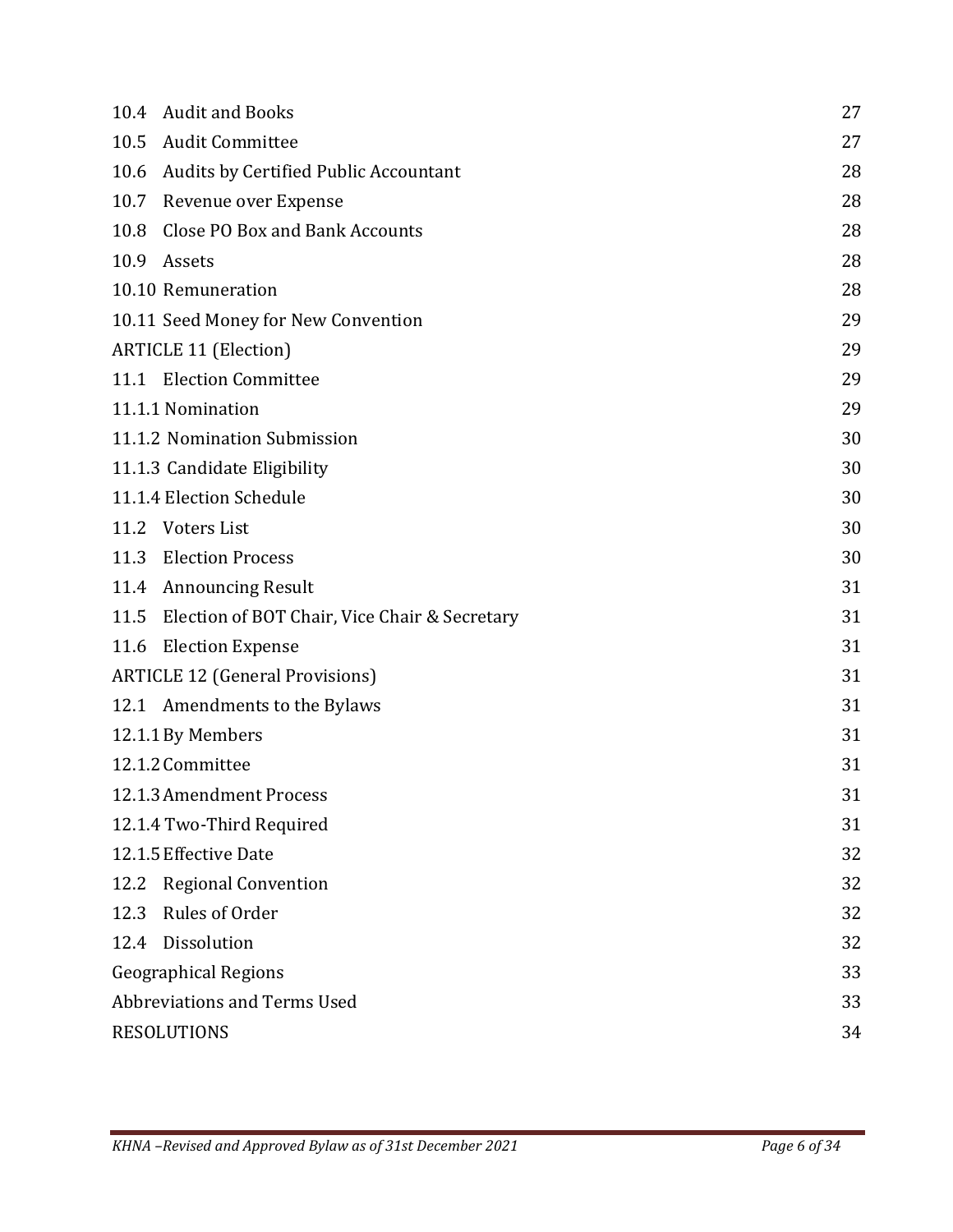| 10.4                                   | <b>Audit and Books</b>                        | 27 |
|----------------------------------------|-----------------------------------------------|----|
| 10.5                                   | <b>Audit Committee</b>                        | 27 |
| 10.6                                   | <b>Audits by Certified Public Accountant</b>  | 28 |
| 10.7                                   | Revenue over Expense                          | 28 |
| 10.8                                   | <b>Close PO Box and Bank Accounts</b>         | 28 |
| 10.9                                   | Assets                                        | 28 |
|                                        | 10.10 Remuneration                            | 28 |
|                                        | 10.11 Seed Money for New Convention           | 29 |
|                                        | <b>ARTICLE 11 (Election)</b>                  | 29 |
|                                        | 11.1 Election Committee                       | 29 |
|                                        | 11.1.1 Nomination                             | 29 |
|                                        | 11.1.2 Nomination Submission                  | 30 |
|                                        | 11.1.3 Candidate Eligibility                  | 30 |
|                                        | 11.1.4 Election Schedule                      | 30 |
| 11.2                                   | Voters List                                   | 30 |
| 11.3                                   | <b>Election Process</b>                       | 30 |
| 11.4                                   | <b>Announcing Result</b>                      | 31 |
| 11.5                                   | Election of BOT Chair, Vice Chair & Secretary | 31 |
| 11.6                                   | <b>Election Expense</b>                       | 31 |
| <b>ARTICLE 12 (General Provisions)</b> |                                               | 31 |
|                                        | 12.1 Amendments to the Bylaws                 | 31 |
|                                        | 12.1.1 By Members                             | 31 |
|                                        | 12.1.2 Committee                              | 31 |
|                                        | 12.1.3 Amendment Process                      | 31 |
|                                        | 12.1.4 Two-Third Required                     | 31 |
|                                        | 12.1.5 Effective Date                         | 32 |
| 12.2                                   | <b>Regional Convention</b>                    | 32 |
| 12.3                                   | Rules of Order                                | 32 |
| 12.4                                   | Dissolution                                   | 32 |
| <b>Geographical Regions</b>            |                                               | 33 |
| Abbreviations and Terms Used           |                                               | 33 |
| <b>RESOLUTIONS</b>                     |                                               | 34 |
|                                        |                                               |    |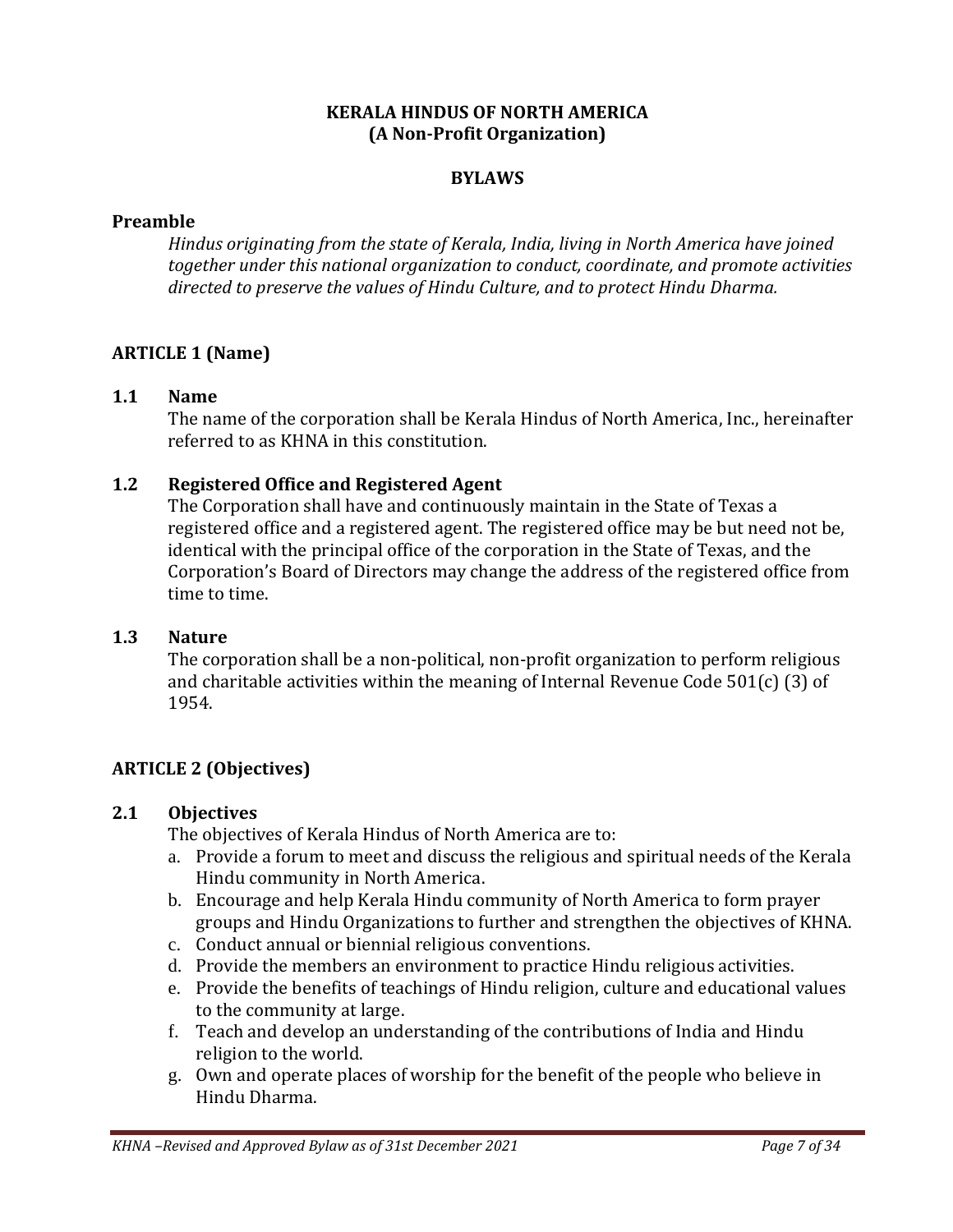#### **KERALA HINDUS OF NORTH AMERICA (A Non-Profit Organization)**

#### **BYLAWS**

#### <span id="page-6-0"></span>**Preamble**

*Hindus originating from the state of Kerala, India, living in North America have joined together under this national organization to conduct, coordinate, and promote activities directed to preserve the values of Hindu Culture, and to protect Hindu Dharma.* 

#### <span id="page-6-1"></span>**ARTICLE 1 (Name)**

#### <span id="page-6-2"></span>**1.1 Name**

The name of the corporation shall be Kerala Hindus of North America, Inc., hereinafter referred to as KHNA in this constitution.

#### <span id="page-6-3"></span>**1.2 Registered Office and Registered Agent**

The Corporation shall have and continuously maintain in the State of Texas a registered office and a registered agent. The registered office may be but need not be, identical with the principal office of the corporation in the State of Texas, and the Corporation's Board of Directors may change the address of the registered office from time to time.

#### <span id="page-6-4"></span>**1.3 Nature**

The corporation shall be a non-political, non-profit organization to perform religious and charitable activities within the meaning of Internal Revenue Code 501(c) (3) of 1954.

#### <span id="page-6-5"></span>**ARTICLE 2 (Objectives)**

#### <span id="page-6-6"></span>**2.1 Objectives**

The objectives of Kerala Hindus of North America are to:

- a. Provide a forum to meet and discuss the religious and spiritual needs of the Kerala Hindu community in North America.
- b. Encourage and help Kerala Hindu community of North America to form prayer groups and Hindu Organizations to further and strengthen the objectives of KHNA.
- c. Conduct annual or biennial religious conventions.
- d. Provide the members an environment to practice Hindu religious activities.
- e. Provide the benefits of teachings of Hindu religion, culture and educational values to the community at large.
- f. Teach and develop an understanding of the contributions of India and Hindu religion to the world.
- g. Own and operate places of worship for the benefit of the people who believe in Hindu Dharma.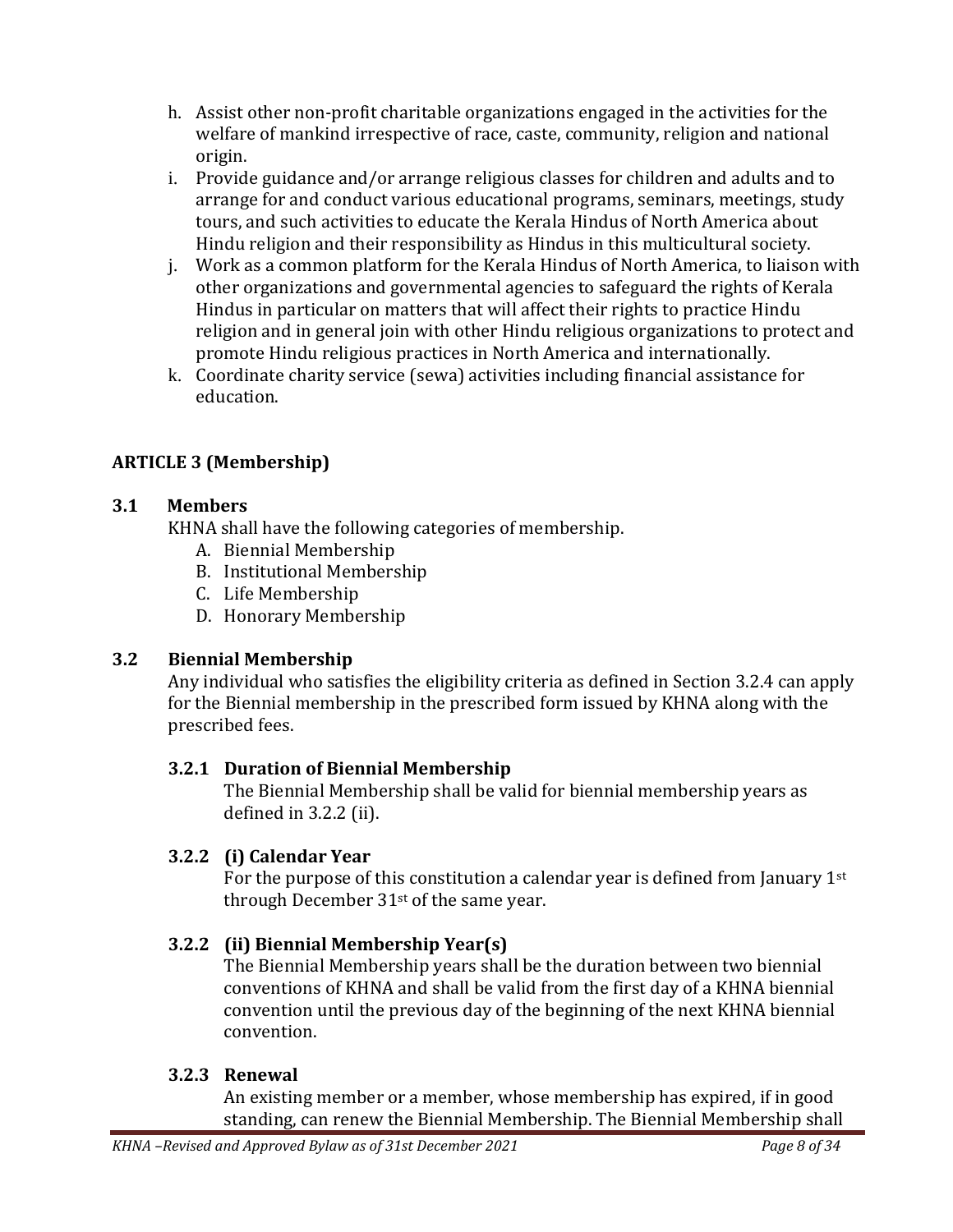- h. Assist other non-profit charitable organizations engaged in the activities for the welfare of mankind irrespective of race, caste, community, religion and national origin.
- i. Provide guidance and/or arrange religious classes for children and adults and to arrange for and conduct various educational programs, seminars, meetings, study tours, and such activities to educate the Kerala Hindus of North America about Hindu religion and their responsibility as Hindus in this multicultural society.
- j. Work as a common platform for the Kerala Hindus of North America, to liaison with other organizations and governmental agencies to safeguard the rights of Kerala Hindus in particular on matters that will affect their rights to practice Hindu religion and in general join with other Hindu religious organizations to protect and promote Hindu religious practices in North America and internationally.
- k. Coordinate charity service (sewa) activities including financial assistance for education.

## <span id="page-7-0"></span>**ARTICLE 3 (Membership)**

### <span id="page-7-1"></span>**3.1 Members**

KHNA shall have the following categories of membership.

- A. Biennial Membership
- B. Institutional Membership
- C. Life Membership
- D. Honorary Membership

### <span id="page-7-2"></span>**3.2 Biennial Membership**

Any individual who satisfies the eligibility criteria as defined in Section 3.2.4 can apply for the Biennial membership in the prescribed form issued by KHNA along with the prescribed fees.

### <span id="page-7-3"></span>**3.2.1 Duration of Biennial Membership**

The Biennial Membership shall be valid for biennial membership years as defined in 3.2.2 (ii).

### <span id="page-7-4"></span>**3.2.2 (i) Calendar Year**

For the purpose of this constitution a calendar year is defined from January 1st through December 31st of the same year.

### <span id="page-7-5"></span>**3.2.2 (ii) Biennial Membership Year(s)**

The Biennial Membership years shall be the duration between two biennial conventions of KHNA and shall be valid from the first day of a KHNA biennial convention until the previous day of the beginning of the next KHNA biennial convention.

### <span id="page-7-6"></span>**3.2.3 Renewal**

An existing member or a member, whose membership has expired, if in good standing, can renew the Biennial Membership. The Biennial Membership shall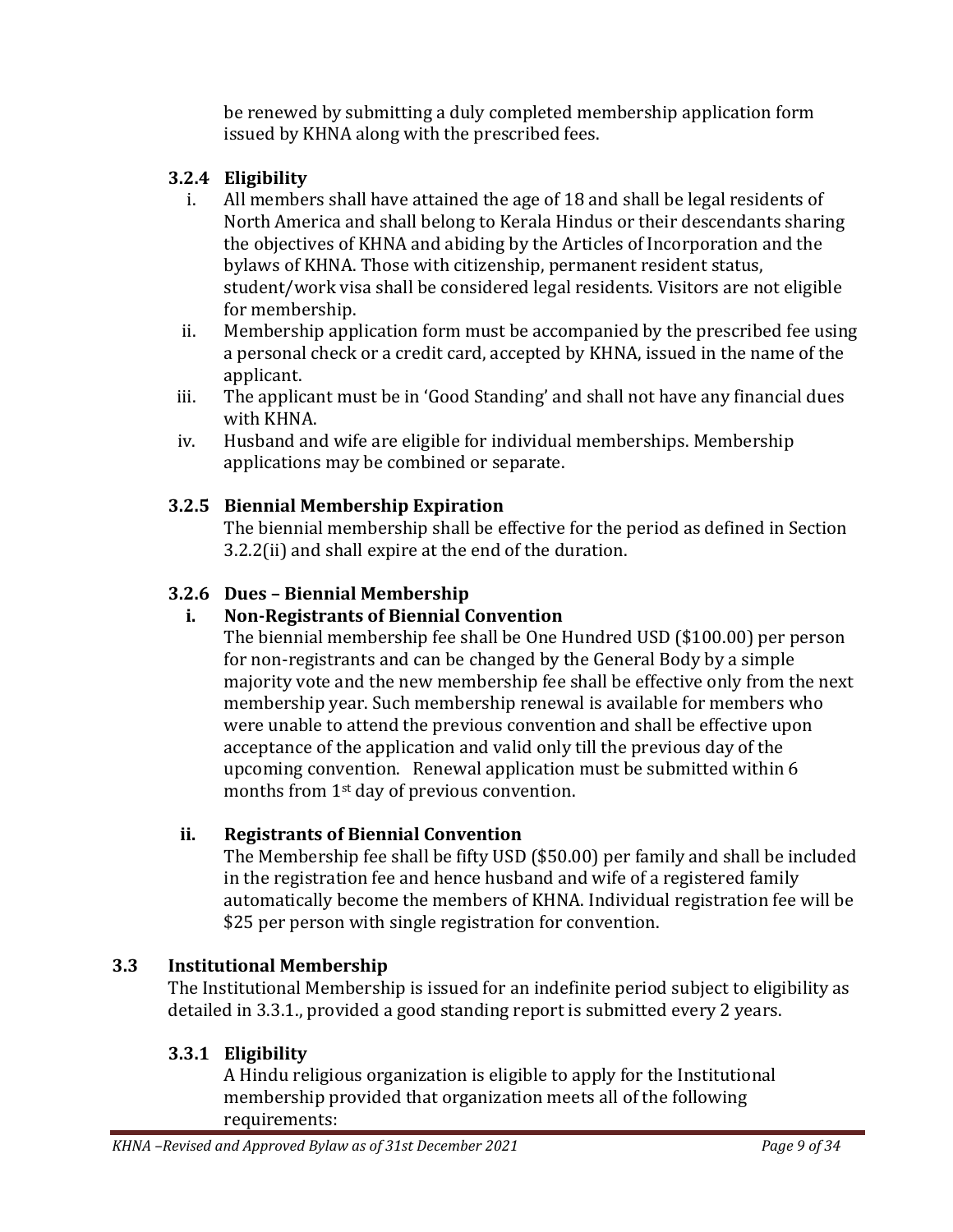be renewed by submitting a duly completed membership application form issued by KHNA along with the prescribed fees.

## <span id="page-8-0"></span>**3.2.4 Eligibility**

- i. All members shall have attained the age of 18 and shall be legal residents of North America and shall belong to Kerala Hindus or their descendants sharing the objectives of KHNA and abiding by the Articles of Incorporation and the bylaws of KHNA. Those with citizenship, permanent resident status, student/work visa shall be considered legal residents. Visitors are not eligible for membership.
- ii. Membership application form must be accompanied by the prescribed fee using a personal check or a credit card, accepted by KHNA, issued in the name of the applicant.
- iii. The applicant must be in 'Good Standing' and shall not have any financial dues with KHNA.
- iv. Husband and wife are eligible for individual memberships. Membership applications may be combined or separate.

## <span id="page-8-1"></span>**3.2.5 Biennial Membership Expiration**

The biennial membership shall be effective for the period as defined in Section 3.2.2(ii) and shall expire at the end of the duration.

## <span id="page-8-2"></span>**3.2.6 Dues – Biennial Membership**

## **i. Non-Registrants of Biennial Convention**

The biennial membership fee shall be One Hundred USD (\$100.00) per person for non-registrants and can be changed by the General Body by a simple majority vote and the new membership fee shall be effective only from the next membership year. Such membership renewal is available for members who were unable to attend the previous convention and shall be effective upon acceptance of the application and valid only till the previous day of the upcoming convention. Renewal application must be submitted within 6 months from 1st day of previous convention.

### **ii. Registrants of Biennial Convention**

The Membership fee shall be fifty USD (\$50.00) per family and shall be included in the registration fee and hence husband and wife of a registered family automatically become the members of KHNA. Individual registration fee will be \$25 per person with single registration for convention.

## <span id="page-8-3"></span>**3.3 Institutional Membership**

The Institutional Membership is issued for an indefinite period subject to eligibility as detailed in 3.3.1., provided a good standing report is submitted every 2 years.

### <span id="page-8-4"></span>**3.3.1 Eligibility**

A Hindu religious organization is eligible to apply for the Institutional membership provided that organization meets all of the following requirements: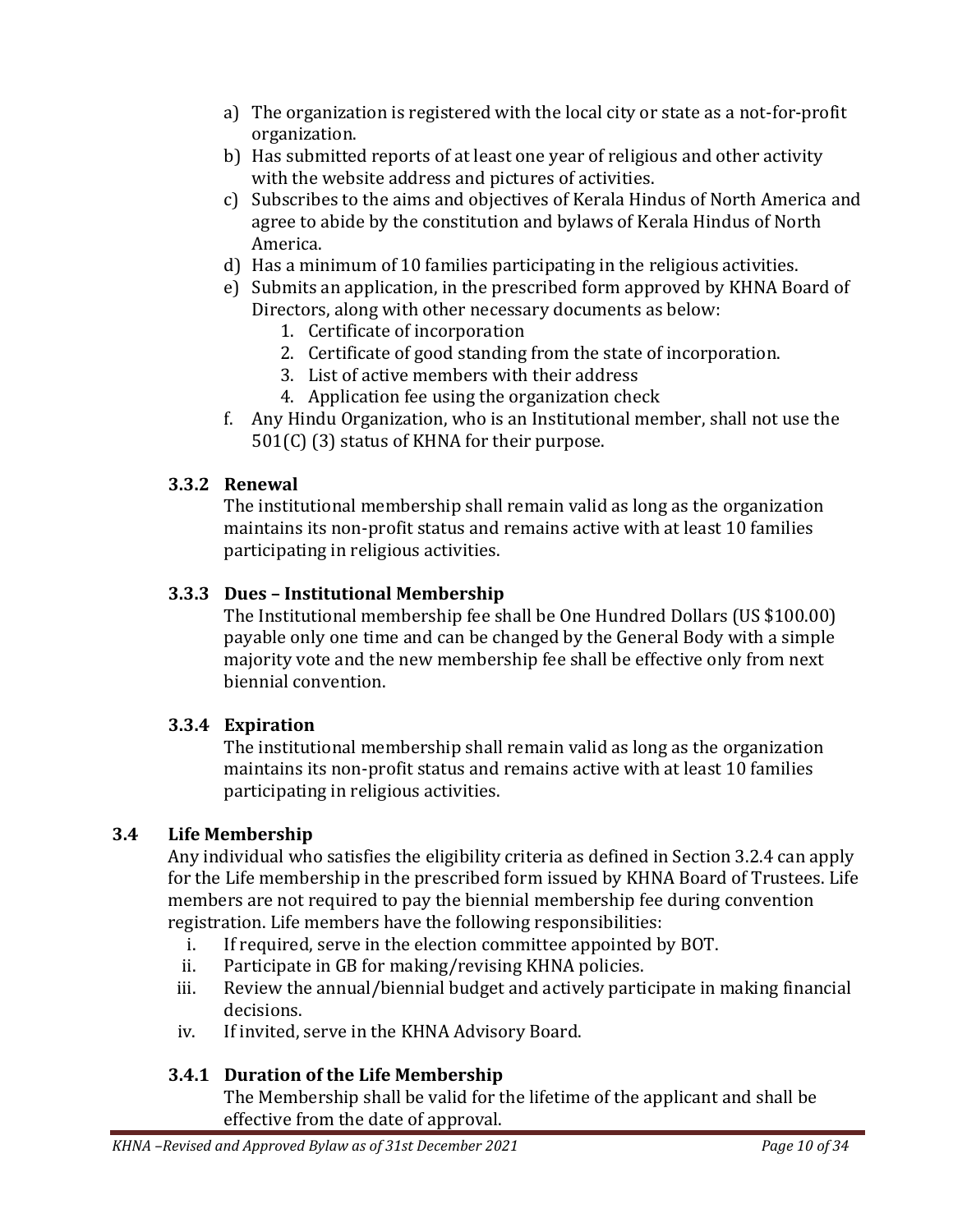- a) The organization is registered with the local city or state as a not-for-profit organization.
- b) Has submitted reports of at least one year of religious and other activity with the website address and pictures of activities.
- c) Subscribes to the aims and objectives of Kerala Hindus of North America and agree to abide by the constitution and bylaws of Kerala Hindus of North America.
- d) Has a minimum of 10 families participating in the religious activities.
- e) Submits an application, in the prescribed form approved by KHNA Board of Directors, along with other necessary documents as below:
	- 1. Certificate of incorporation
	- 2. Certificate of good standing from the state of incorporation.
	- 3. List of active members with their address
	- 4. Application fee using the organization check
- f. Any Hindu Organization, who is an Institutional member, shall not use the 501(C) (3) status of KHNA for their purpose.

### <span id="page-9-0"></span>**3.3.2 Renewal**

The institutional membership shall remain valid as long as the organization maintains its non-profit status and remains active with at least 10 families participating in religious activities.

#### <span id="page-9-1"></span>**3.3.3 Dues – Institutional Membership**

The Institutional membership fee shall be One Hundred Dollars (US \$100.00) payable only one time and can be changed by the General Body with a simple majority vote and the new membership fee shall be effective only from next biennial convention.

#### <span id="page-9-2"></span>**3.3.4 Expiration**

The institutional membership shall remain valid as long as the organization maintains its non-profit status and remains active with at least 10 families participating in religious activities.

### <span id="page-9-3"></span>**3.4 Life Membership**

Any individual who satisfies the eligibility criteria as defined in Section 3.2.4 can apply for the Life membership in the prescribed form issued by KHNA Board of Trustees. Life members are not required to pay the biennial membership fee during convention registration. Life members have the following responsibilities:

- i. If required, serve in the election committee appointed by BOT.
- ii. Participate in GB for making/revising KHNA policies.
- iii. Review the annual/biennial budget and actively participate in making financial decisions.
- iv. If invited, serve in the KHNA Advisory Board.

### <span id="page-9-4"></span>**3.4.1 Duration of the Life Membership**

The Membership shall be valid for the lifetime of the applicant and shall be effective from the date of approval.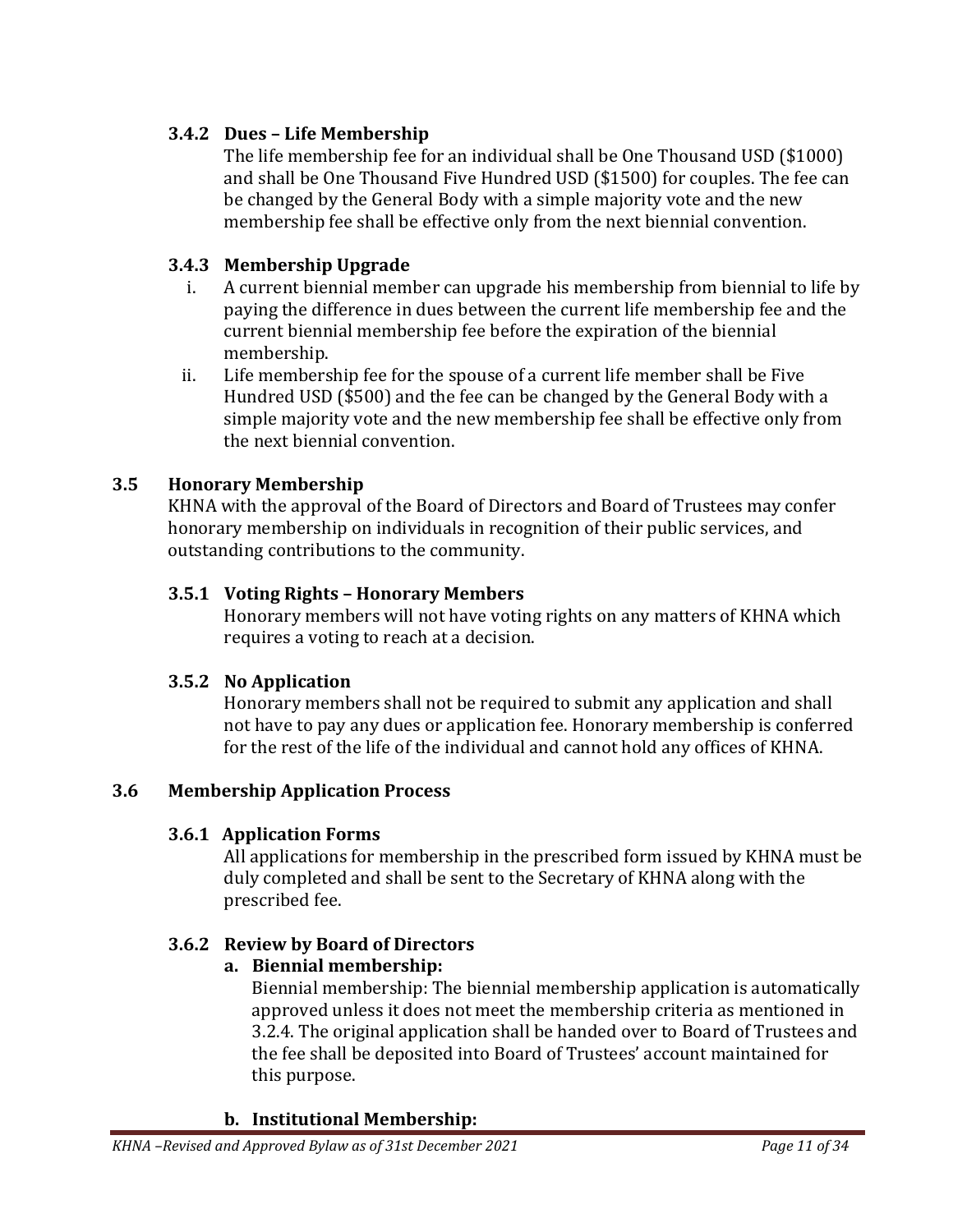### <span id="page-10-0"></span>**3.4.2 Dues – Life Membership**

The life membership fee for an individual shall be One Thousand USD (\$1000) and shall be One Thousand Five Hundred USD (\$1500) for couples. The fee can be changed by the General Body with a simple majority vote and the new membership fee shall be effective only from the next biennial convention.

### <span id="page-10-1"></span>**3.4.3 Membership Upgrade**

- i. A current biennial member can upgrade his membership from biennial to life by paying the difference in dues between the current life membership fee and the current biennial membership fee before the expiration of the biennial membership.
- ii. Life membership fee for the spouse of a current life member shall be Five Hundred USD (\$500) and the fee can be changed by the General Body with a simple majority vote and the new membership fee shall be effective only from the next biennial convention.

## <span id="page-10-2"></span>**3.5 Honorary Membership**

KHNA with the approval of the Board of Directors and Board of Trustees may confer honorary membership on individuals in recognition of their public services, and outstanding contributions to the community.

### <span id="page-10-3"></span>**3.5.1 Voting Rights – Honorary Members**

Honorary members will not have voting rights on any matters of KHNA which requires a voting to reach at a decision.

### <span id="page-10-4"></span>**3.5.2 No Application**

Honorary members shall not be required to submit any application and shall not have to pay any dues or application fee. Honorary membership is conferred for the rest of the life of the individual and cannot hold any offices of KHNA.

## <span id="page-10-6"></span><span id="page-10-5"></span>**3.6 Membership Application Process**

## **3.6.1 Application Forms**

All applications for membership in the prescribed form issued by KHNA must be duly completed and shall be sent to the Secretary of KHNA along with the prescribed fee.

## <span id="page-10-7"></span>**3.6.2 Review by Board of Directors**

## **a. Biennial membership:**

Biennial membership: The biennial membership application is automatically approved unless it does not meet the membership criteria as mentioned in 3.2.4. The original application shall be handed over to Board of Trustees and the fee shall be deposited into Board of Trustees' account maintained for this purpose.

### **b. Institutional Membership:**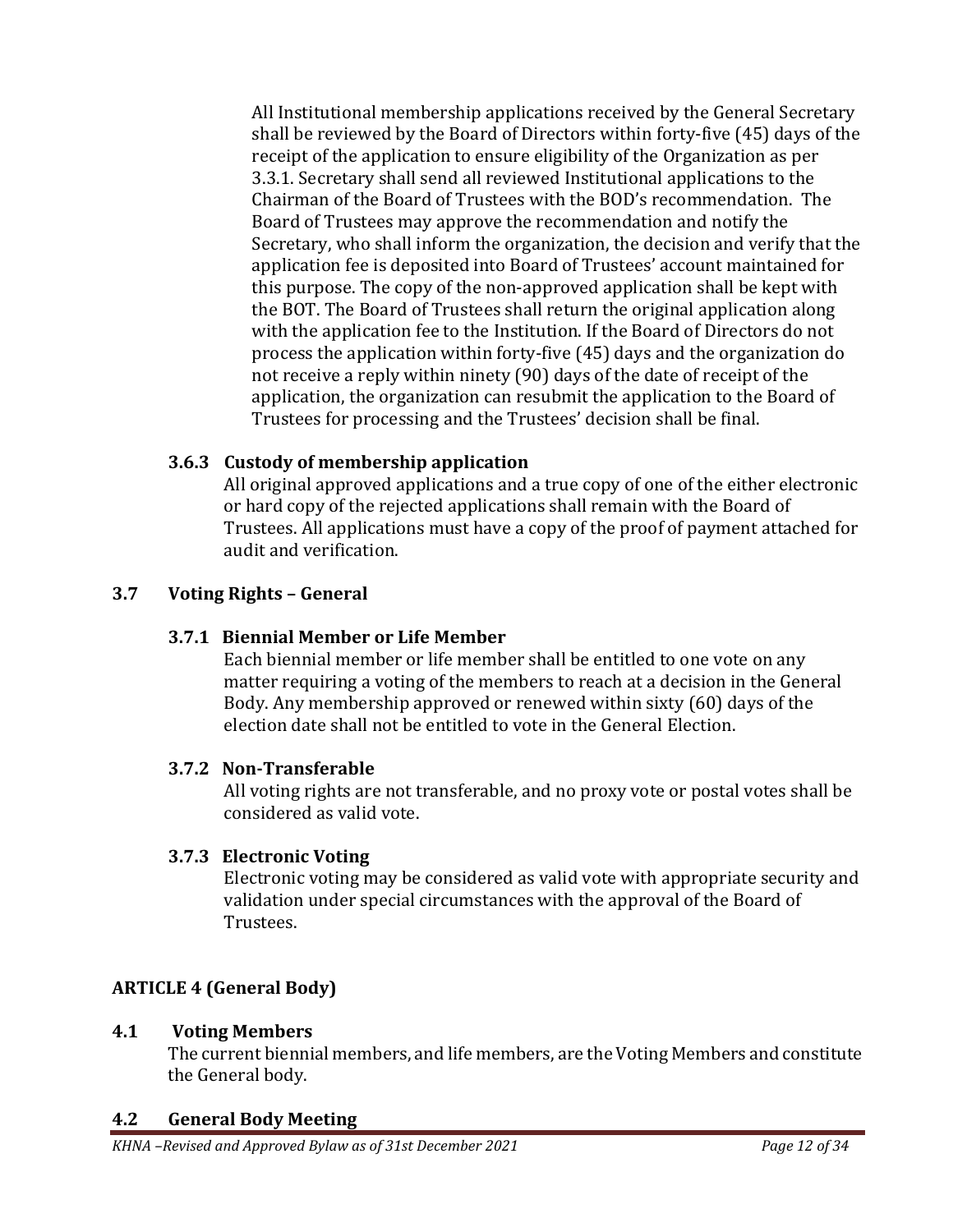All Institutional membership applications received by the General Secretary shall be reviewed by the Board of Directors within forty-five (45) days of the receipt of the application to ensure eligibility of the Organization as per 3.3.1. Secretary shall send all reviewed Institutional applications to the Chairman of the Board of Trustees with the BOD's recommendation. The Board of Trustees may approve the recommendation and notify the Secretary, who shall inform the organization, the decision and verify that the application fee is deposited into Board of Trustees' account maintained for this purpose. The copy of the non-approved application shall be kept with the BOT. The Board of Trustees shall return the original application along with the application fee to the Institution. If the Board of Directors do not process the application within forty-five (45) days and the organization do not receive a reply within ninety (90) days of the date of receipt of the application, the organization can resubmit the application to the Board of Trustees for processing and the Trustees' decision shall be final.

## <span id="page-11-0"></span>**3.6.3 Custody of membership application**

All original approved applications and a true copy of one of the either electronic or hard copy of the rejected applications shall remain with the Board of Trustees. All applications must have a copy of the proof of payment attached for audit and verification.

## <span id="page-11-2"></span><span id="page-11-1"></span>**3.7 Voting Rights – General**

## **3.7.1 Biennial Member or Life Member**

Each biennial member or life member shall be entitled to one vote on any matter requiring a voting of the members to reach at a decision in the General Body. Any membership approved or renewed within sixty (60) days of the election date shall not be entitled to vote in the General Election.

### <span id="page-11-3"></span>**3.7.2 Non-Transferable**

All voting rights are not transferable, and no proxy vote or postal votes shall be considered as valid vote.

## <span id="page-11-4"></span>**3.7.3 Electronic Voting**

Electronic voting may be considered as valid vote with appropriate security and validation under special circumstances with the approval of the Board of Trustees.

# <span id="page-11-5"></span>**ARTICLE 4 (General Body)**

### <span id="page-11-6"></span>**4.1 Voting Members**

The current biennial members, and life members, are the Voting Members and constitute the General body.

## <span id="page-11-7"></span>**4.2 General Body Meeting**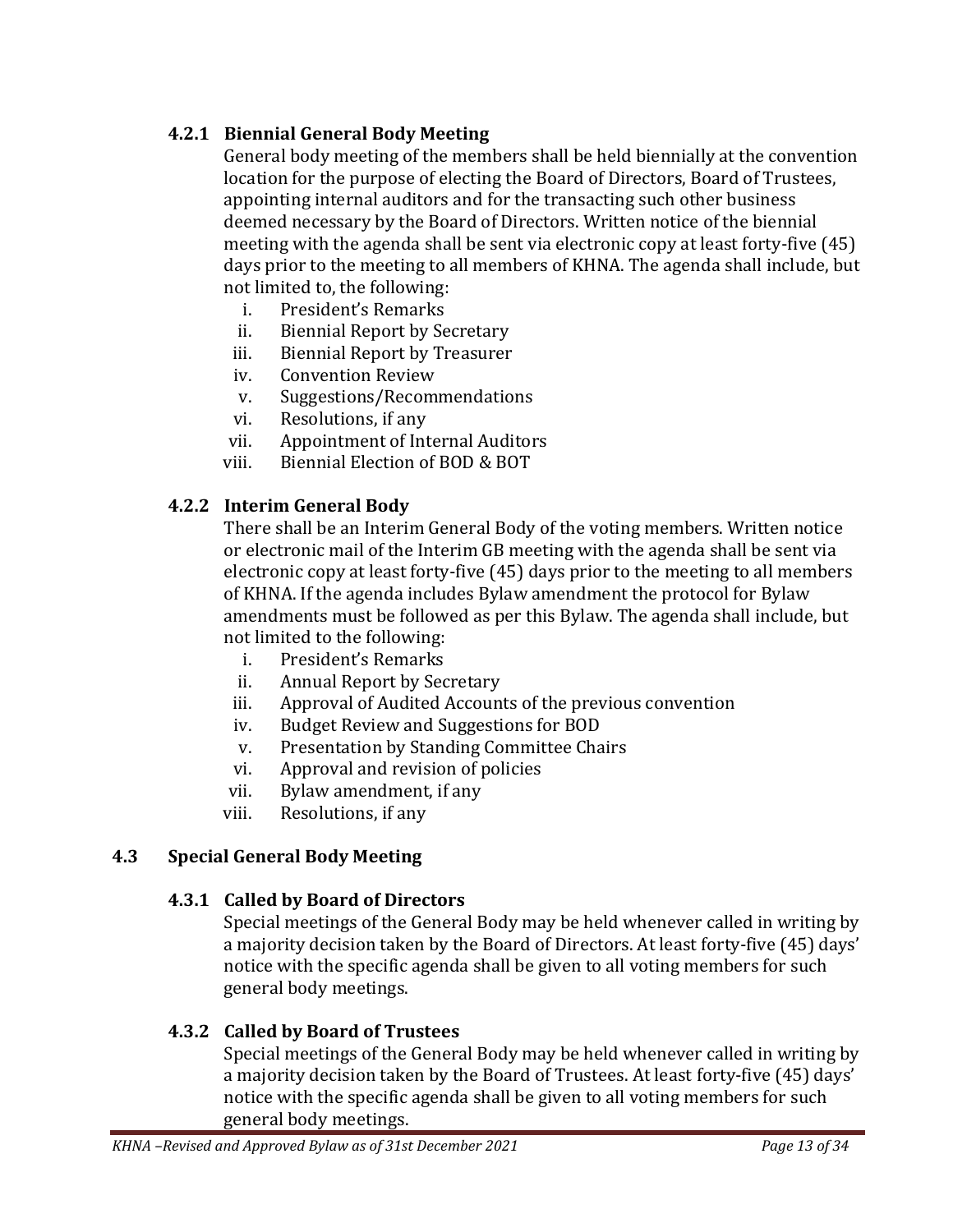## <span id="page-12-0"></span>**4.2.1 Biennial General Body Meeting**

General body meeting of the members shall be held biennially at the convention location for the purpose of electing the Board of Directors, Board of Trustees, appointing internal auditors and for the transacting such other business deemed necessary by the Board of Directors. Written notice of the biennial meeting with the agenda shall be sent via electronic copy at least forty-five (45) days prior to the meeting to all members of KHNA. The agenda shall include, but not limited to, the following:

- i. President's Remarks
- ii. Biennial Report by Secretary
- iii. Biennial Report by Treasurer
- iv. Convention Review
- v. Suggestions/Recommendations
- vi. Resolutions, if any
- vii. Appointment of Internal Auditors
- viii. Biennial Election of BOD & BOT

## <span id="page-12-1"></span>**4.2.2 Interim General Body**

There shall be an Interim General Body of the voting members. Written notice or electronic mail of the Interim GB meeting with the agenda shall be sent via electronic copy at least forty-five (45) days prior to the meeting to all members of KHNA. If the agenda includes Bylaw amendment the protocol for Bylaw amendments must be followed as per this Bylaw. The agenda shall include, but not limited to the following:

- i. President's Remarks
- ii. Annual Report by Secretary
- iii. Approval of Audited Accounts of the previous convention
- iv. Budget Review and Suggestions for BOD
- v. Presentation by Standing Committee Chairs
- vi. Approval and revision of policies
- vii. Bylaw amendment, if any
- viii. Resolutions, if any

### <span id="page-12-3"></span><span id="page-12-2"></span>**4.3 Special General Body Meeting**

### **4.3.1 Called by Board of Directors**

Special meetings of the General Body may be held whenever called in writing by a majority decision taken by the Board of Directors. At least forty-five (45) days' notice with the specific agenda shall be given to all voting members for such general body meetings.

### <span id="page-12-4"></span>**4.3.2 Called by Board of Trustees**

Special meetings of the General Body may be held whenever called in writing by a majority decision taken by the Board of Trustees. At least forty-five (45) days' notice with the specific agenda shall be given to all voting members for such general body meetings.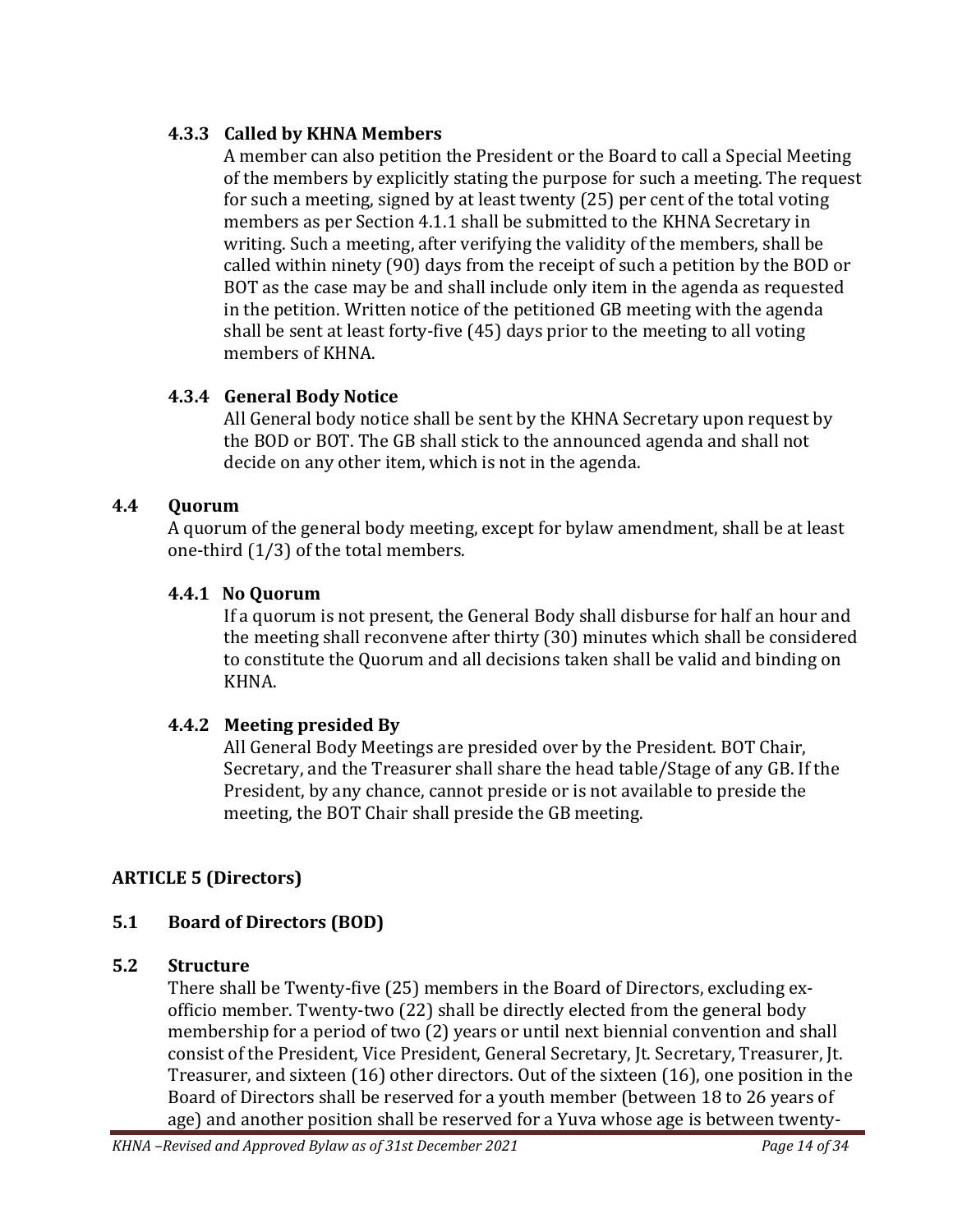### <span id="page-13-0"></span>**4.3.3 Called by KHNA Members**

A member can also petition the President or the Board to call a Special Meeting of the members by explicitly stating the purpose for such a meeting. The request for such a meeting, signed by at least twenty (25) per cent of the total voting members as per Section 4.1.1 shall be submitted to the KHNA Secretary in writing. Such a meeting, after verifying the validity of the members, shall be called within ninety (90) days from the receipt of such a petition by the BOD or BOT as the case may be and shall include only item in the agenda as requested in the petition. Written notice of the petitioned GB meeting with the agenda shall be sent at least forty-five (45) days prior to the meeting to all voting members of KHNA.

## <span id="page-13-1"></span>**4.3.4 General Body Notice**

All General body notice shall be sent by the KHNA Secretary upon request by the BOD or BOT. The GB shall stick to the announced agenda and shall not decide on any other item, which is not in the agenda.

### <span id="page-13-2"></span>**4.4 Quorum**

A quorum of the general body meeting, except for bylaw amendment, shall be at least one-third (1/3) of the total members.

### <span id="page-13-3"></span>**4.4.1 No Quorum**

If a quorum is not present, the General Body shall disburse for half an hour and the meeting shall reconvene after thirty (30) minutes which shall be considered to constitute the Quorum and all decisions taken shall be valid and binding on KHNA.

## <span id="page-13-4"></span>**4.4.2 Meeting presided By**

All General Body Meetings are presided over by the President. BOT Chair, Secretary, and the Treasurer shall share the head table/Stage of any GB. If the President, by any chance, cannot preside or is not available to preside the meeting, the BOT Chair shall preside the GB meeting.

## <span id="page-13-5"></span>**ARTICLE 5 (Directors)**

## <span id="page-13-6"></span>**5.1 Board of Directors (BOD)**

### <span id="page-13-7"></span>**5.2 Structure**

There shall be Twenty-five (25) members in the Board of Directors, excluding exofficio member. Twenty-two (22) shall be directly elected from the general body membership for a period of two (2) years or until next biennial convention and shall consist of the President, Vice President, General Secretary, Jt. Secretary, Treasurer, Jt. Treasurer, and sixteen (16) other directors. Out of the sixteen (16), one position in the Board of Directors shall be reserved for a youth member (between 18 to 26 years of age) and another position shall be reserved for a Yuva whose age is between twenty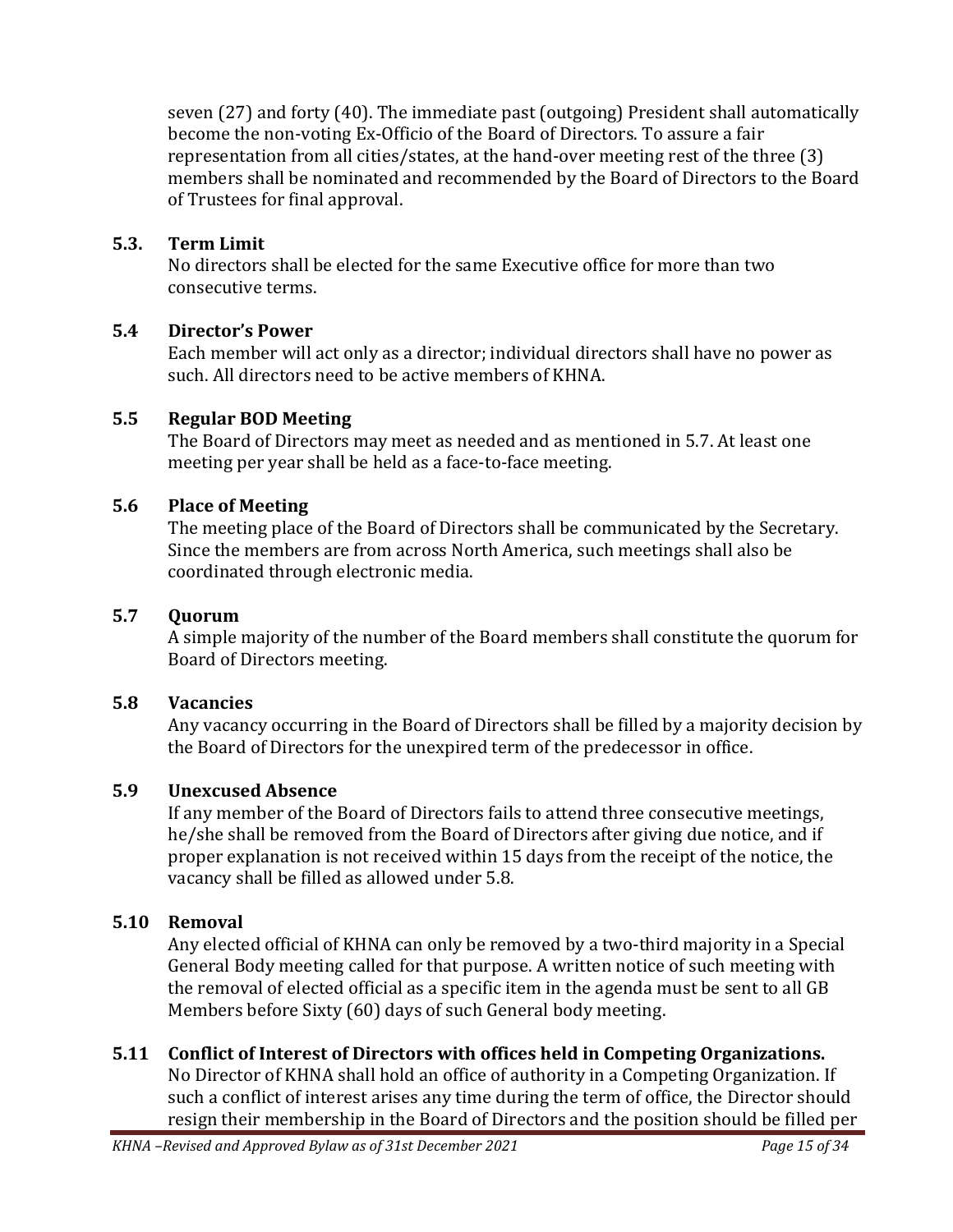seven (27) and forty (40). The immediate past (outgoing) President shall automatically become the non-voting Ex-Officio of the Board of Directors. To assure a fair representation from all cities/states, at the hand-over meeting rest of the three (3) members shall be nominated and recommended by the Board of Directors to the Board of Trustees for final approval.

#### <span id="page-14-0"></span>**5.3. Term Limit**

No directors shall be elected for the same Executive office for more than two consecutive terms.

### <span id="page-14-1"></span>**5.4 Director's Power**

Each member will act only as a director; individual directors shall have no power as such. All directors need to be active members of KHNA.

### <span id="page-14-2"></span>**5.5 Regular BOD Meeting**

The Board of Directors may meet as needed and as mentioned in 5.7. At least one meeting per year shall be held as a face-to-face meeting.

### <span id="page-14-3"></span>**5.6 Place of Meeting**

The meeting place of the Board of Directors shall be communicated by the Secretary. Since the members are from across North America, such meetings shall also be coordinated through electronic media.

### <span id="page-14-4"></span>**5.7 Quorum**

A simple majority of the number of the Board members shall constitute the quorum for Board of Directors meeting.

### <span id="page-14-5"></span>**5.8 Vacancies**

Any vacancy occurring in the Board of Directors shall be filled by a majority decision by the Board of Directors for the unexpired term of the predecessor in office.

### <span id="page-14-6"></span>**5.9 Unexcused Absence**

If any member of the Board of Directors fails to attend three consecutive meetings, he/she shall be removed from the Board of Directors after giving due notice, and if proper explanation is not received within 15 days from the receipt of the notice, the vacancy shall be filled as allowed under 5.8.

## <span id="page-14-7"></span>**5.10 Removal**

Any elected official of KHNA can only be removed by a two-third majority in a Special General Body meeting called for that purpose. A written notice of such meeting with the removal of elected official as a specific item in the agenda must be sent to all GB Members before Sixty (60) days of such General body meeting.

## <span id="page-14-8"></span>**5.11 Conflict of Interest of Directors with offices held in Competing Organizations.**

No Director of KHNA shall hold an office of authority in a Competing Organization. If such a conflict of interest arises any time during the term of office, the Director should resign their membership in the Board of Directors and the position should be filled per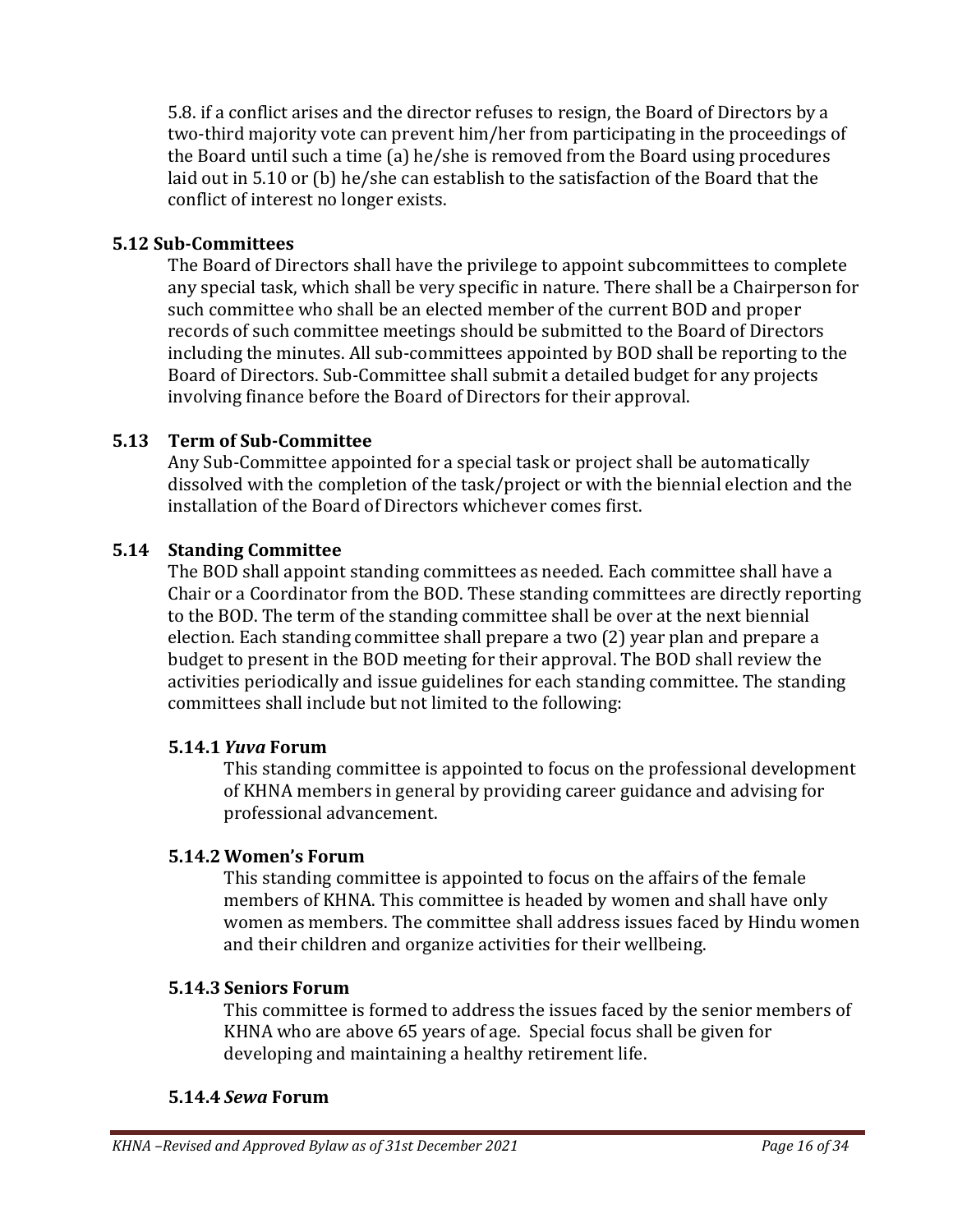5.8. if a conflict arises and the director refuses to resign, the Board of Directors by a two-third majority vote can prevent him/her from participating in the proceedings of the Board until such a time (a) he/she is removed from the Board using procedures laid out in 5.10 or (b) he/she can establish to the satisfaction of the Board that the conflict of interest no longer exists.

#### <span id="page-15-0"></span>**5.12 Sub-Committees**

The Board of Directors shall have the privilege to appoint subcommittees to complete any special task, which shall be very specific in nature. There shall be a Chairperson for such committee who shall be an elected member of the current BOD and proper records of such committee meetings should be submitted to the Board of Directors including the minutes. All sub-committees appointed by BOD shall be reporting to the Board of Directors. Sub-Committee shall submit a detailed budget for any projects involving finance before the Board of Directors for their approval.

#### <span id="page-15-1"></span>**5.13 Term of Sub-Committee**

Any Sub-Committee appointed for a special task or project shall be automatically dissolved with the completion of the task/project or with the biennial election and the installation of the Board of Directors whichever comes first.

#### <span id="page-15-2"></span>**5.14 Standing Committee**

The BOD shall appoint standing committees as needed. Each committee shall have a Chair or a Coordinator from the BOD. These standing committees are directly reporting to the BOD. The term of the standing committee shall be over at the next biennial election. Each standing committee shall prepare a two (2) year plan and prepare a budget to present in the BOD meeting for their approval. The BOD shall review the activities periodically and issue guidelines for each standing committee. The standing committees shall include but not limited to the following:

#### <span id="page-15-3"></span>**5.14.1** *Yuva* **Forum**

This standing committee is appointed to focus on the professional development of KHNA members in general by providing career guidance and advising for professional advancement.

#### <span id="page-15-4"></span>**5.14.2 Women's Forum**

This standing committee is appointed to focus on the affairs of the female members of KHNA. This committee is headed by women and shall have only women as members. The committee shall address issues faced by Hindu women and their children and organize activities for their wellbeing.

### <span id="page-15-5"></span>**5.14.3 Seniors Forum**

This committee is formed to address the issues faced by the senior members of KHNA who are above 65 years of age. Special focus shall be given for developing and maintaining a healthy retirement life.

#### <span id="page-15-6"></span>**5.14.4** *Sewa* **Forum**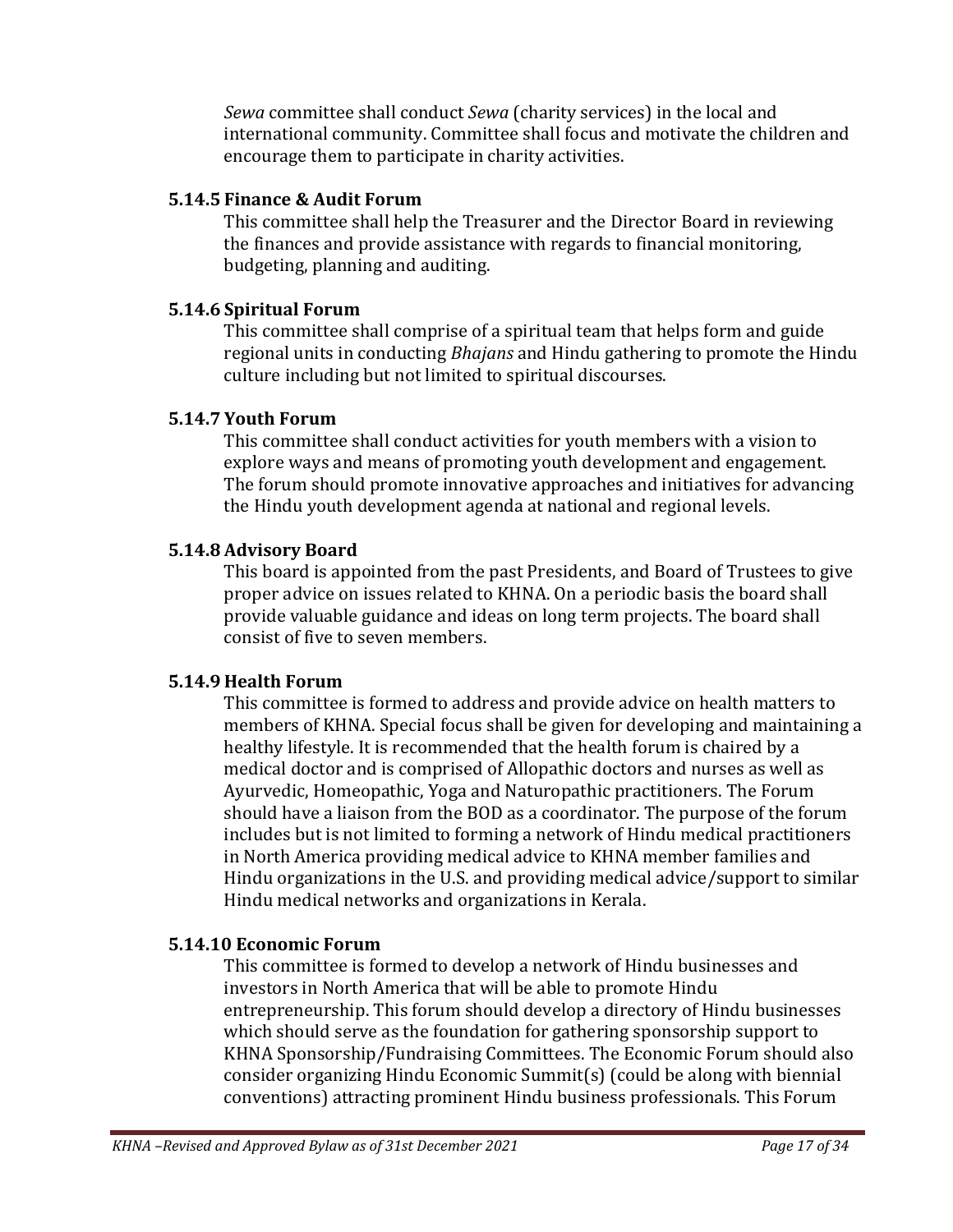*Sewa* committee shall conduct *Sewa* (charity services) in the local and international community. Committee shall focus and motivate the children and encourage them to participate in charity activities.

#### <span id="page-16-0"></span>**5.14.5 Finance & Audit Forum**

This committee shall help the Treasurer and the Director Board in reviewing the finances and provide assistance with regards to financial monitoring, budgeting, planning and auditing.

#### <span id="page-16-1"></span>**5.14.6 Spiritual Forum**

This committee shall comprise of a spiritual team that helps form and guide regional units in conducting *Bhajans* and Hindu gathering to promote the Hindu culture including but not limited to spiritual discourses.

### <span id="page-16-2"></span>**5.14.7 Youth Forum**

This committee shall conduct activities for youth members with a vision to explore ways and means of promoting youth development and engagement. The forum should promote innovative approaches and initiatives for advancing the Hindu youth development agenda at national and regional levels.

#### <span id="page-16-3"></span>**5.14.8 Advisory Board**

This board is appointed from the past Presidents, and Board of Trustees to give proper advice on issues related to KHNA. On a periodic basis the board shall provide valuable guidance and ideas on long term projects. The board shall consist of five to seven members.

### <span id="page-16-4"></span>**5.14.9 Health Forum**

This committee is formed to address and provide advice on health matters to members of KHNA. Special focus shall be given for developing and maintaining a healthy lifestyle. It is recommended that the health forum is chaired by a medical doctor and is comprised of Allopathic doctors and nurses as well as Ayurvedic, Homeopathic, Yoga and Naturopathic practitioners. The Forum should have a liaison from the BOD as a coordinator. The purpose of the forum includes but is not limited to forming a network of Hindu medical practitioners in North America providing medical advice to KHNA member families and Hindu organizations in the U.S. and providing medical advice/support to similar Hindu medical networks and organizations in Kerala.

### <span id="page-16-5"></span>**5.14.10 Economic Forum**

This committee is formed to develop a network of Hindu businesses and investors in North America that will be able to promote Hindu entrepreneurship. This forum should develop a directory of Hindu businesses which should serve as the foundation for gathering sponsorship support to KHNA Sponsorship/Fundraising Committees. The Economic Forum should also consider organizing Hindu Economic Summit(s) (could be along with biennial conventions) attracting prominent Hindu business professionals. This Forum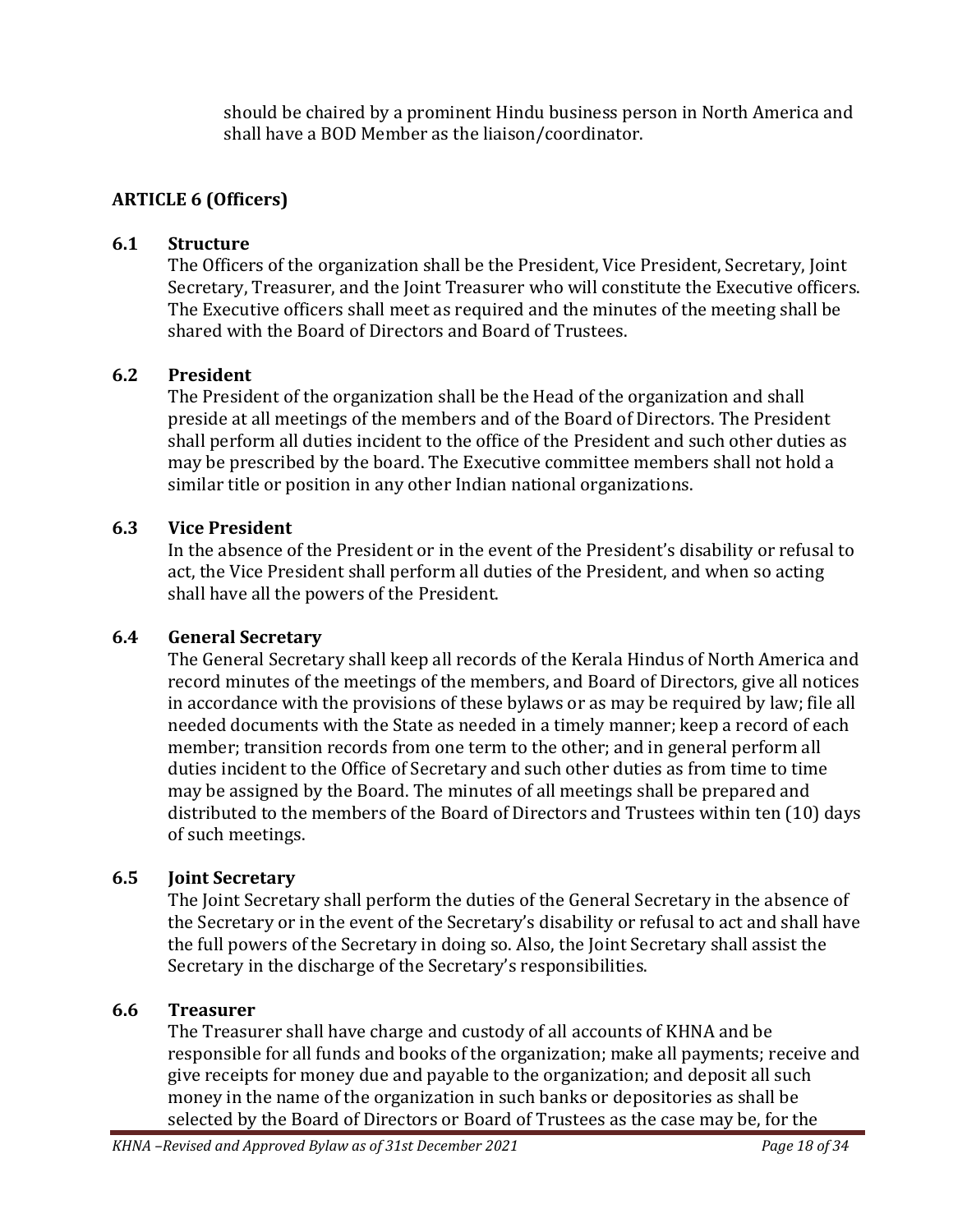should be chaired by a prominent Hindu business person in North America and shall have a BOD Member as the liaison/coordinator.

### <span id="page-17-0"></span>**ARTICLE 6 (Officers)**

#### <span id="page-17-1"></span>**6.1 Structure**

The Officers of the organization shall be the President, Vice President, Secretary, Joint Secretary, Treasurer, and the Joint Treasurer who will constitute the Executive officers. The Executive officers shall meet as required and the minutes of the meeting shall be shared with the Board of Directors and Board of Trustees.

#### <span id="page-17-2"></span>**6.2 President**

The President of the organization shall be the Head of the organization and shall preside at all meetings of the members and of the Board of Directors. The President shall perform all duties incident to the office of the President and such other duties as may be prescribed by the board. The Executive committee members shall not hold a similar title or position in any other Indian national organizations.

#### <span id="page-17-3"></span>**6.3 Vice President**

In the absence of the President or in the event of the President's disability or refusal to act, the Vice President shall perform all duties of the President, and when so acting shall have all the powers of the President.

#### <span id="page-17-4"></span>**6.4 General Secretary**

The General Secretary shall keep all records of the Kerala Hindus of North America and record minutes of the meetings of the members, and Board of Directors, give all notices in accordance with the provisions of these bylaws or as may be required by law; file all needed documents with the State as needed in a timely manner; keep a record of each member; transition records from one term to the other; and in general perform all duties incident to the Office of Secretary and such other duties as from time to time may be assigned by the Board. The minutes of all meetings shall be prepared and distributed to the members of the Board of Directors and Trustees within ten (10) days of such meetings.

#### <span id="page-17-5"></span>**6.5 Joint Secretary**

The Joint Secretary shall perform the duties of the General Secretary in the absence of the Secretary or in the event of the Secretary's disability or refusal to act and shall have the full powers of the Secretary in doing so. Also, the Joint Secretary shall assist the Secretary in the discharge of the Secretary's responsibilities.

#### <span id="page-17-6"></span>**6.6 Treasurer**

The Treasurer shall have charge and custody of all accounts of KHNA and be responsible for all funds and books of the organization; make all payments; receive and give receipts for money due and payable to the organization; and deposit all such money in the name of the organization in such banks or depositories as shall be selected by the Board of Directors or Board of Trustees as the case may be, for the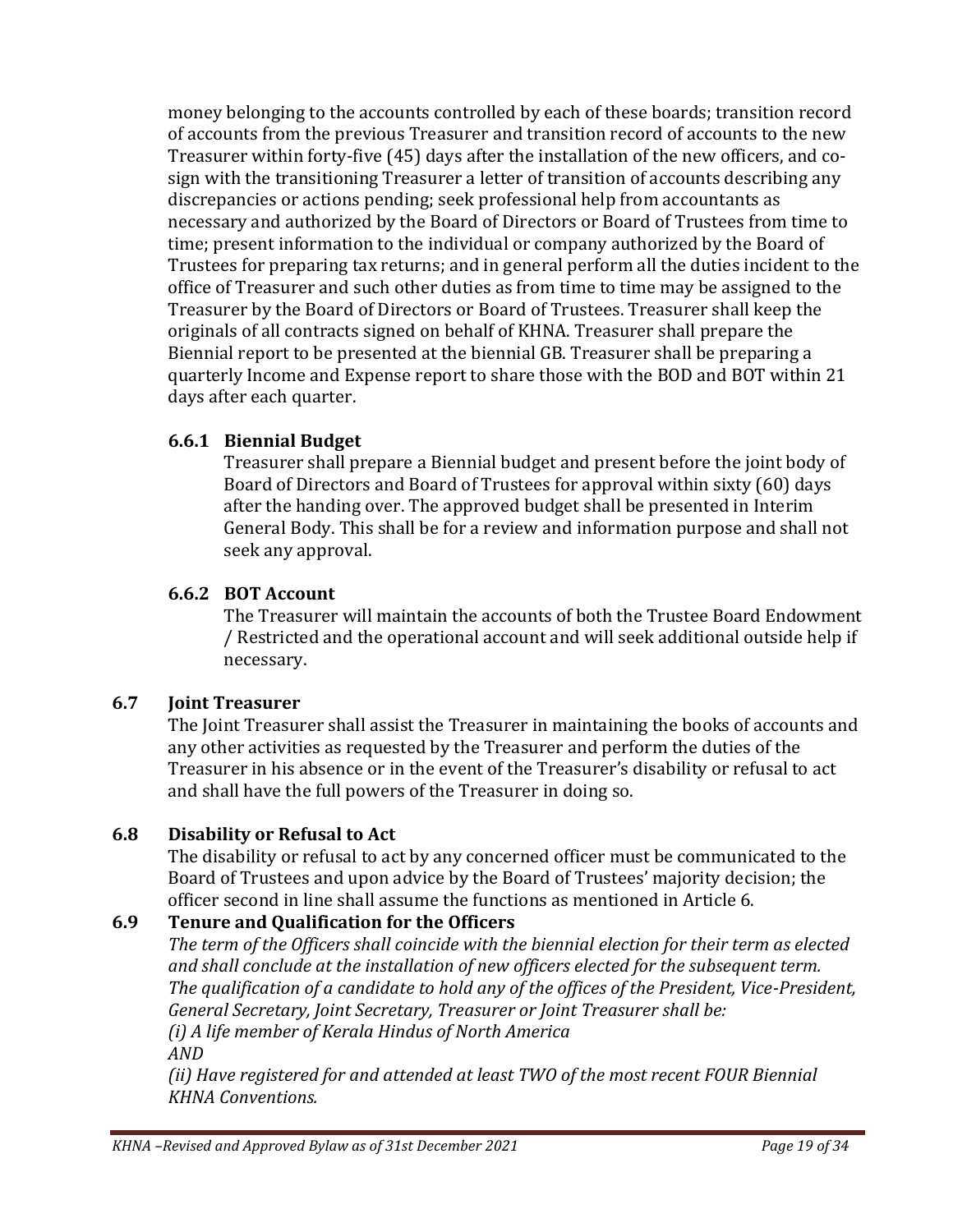money belonging to the accounts controlled by each of these boards; transition record of accounts from the previous Treasurer and transition record of accounts to the new Treasurer within forty-five (45) days after the installation of the new officers, and cosign with the transitioning Treasurer a letter of transition of accounts describing any discrepancies or actions pending; seek professional help from accountants as necessary and authorized by the Board of Directors or Board of Trustees from time to time; present information to the individual or company authorized by the Board of Trustees for preparing tax returns; and in general perform all the duties incident to the office of Treasurer and such other duties as from time to time may be assigned to the Treasurer by the Board of Directors or Board of Trustees. Treasurer shall keep the originals of all contracts signed on behalf of KHNA. Treasurer shall prepare the Biennial report to be presented at the biennial GB. Treasurer shall be preparing a quarterly Income and Expense report to share those with the BOD and BOT within 21 days after each quarter.

## <span id="page-18-0"></span>**6.6.1 Biennial Budget**

Treasurer shall prepare a Biennial budget and present before the joint body of Board of Directors and Board of Trustees for approval within sixty (60) days after the handing over. The approved budget shall be presented in Interim General Body. This shall be for a review and information purpose and shall not seek any approval.

## <span id="page-18-1"></span>**6.6.2 BOT Account**

The Treasurer will maintain the accounts of both the Trustee Board Endowment / Restricted and the operational account and will seek additional outside help if necessary.

## <span id="page-18-2"></span>**6.7 Joint Treasurer**

The Joint Treasurer shall assist the Treasurer in maintaining the books of accounts and any other activities as requested by the Treasurer and perform the duties of the Treasurer in his absence or in the event of the Treasurer's disability or refusal to act and shall have the full powers of the Treasurer in doing so.

## <span id="page-18-3"></span>**6.8 Disability or Refusal to Act**

The disability or refusal to act by any concerned officer must be communicated to the Board of Trustees and upon advice by the Board of Trustees' majority decision; the officer second in line shall assume the functions as mentioned in Article 6.

# <span id="page-18-4"></span>**6.9 Tenure and Qualification for the Officers**

*The term of the Officers shall coincide with the biennial election for their term as elected and shall conclude at the installation of new officers elected for the subsequent term. The qualification of a candidate to hold any of the offices of the President, Vice-President, General Secretary, Joint Secretary, Treasurer or Joint Treasurer shall be: (i) A life member of Kerala Hindus of North America AND*

*(ii) Have registered for and attended at least TWO of the most recent FOUR Biennial KHNA Conventions.*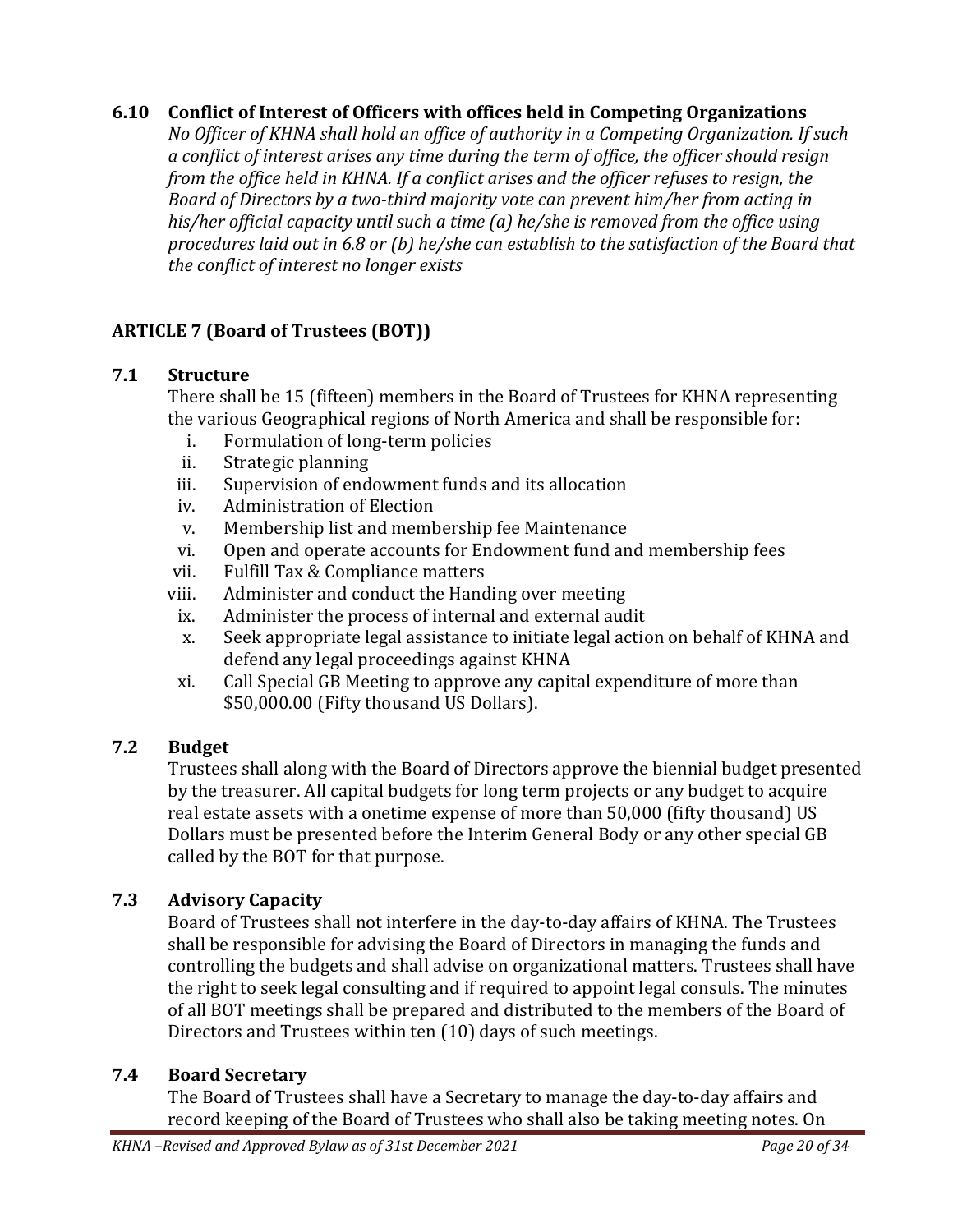#### <span id="page-19-0"></span>**6.10 Conflict of Interest of Officers with offices held in Competing Organizations**

*No Officer of KHNA shall hold an office of authority in a Competing Organization. If such a conflict of interest arises any time during the term of office, the officer should resign from the office held in KHNA. If a conflict arises and the officer refuses to resign, the Board of Directors by a two-third majority vote can prevent him/her from acting in his/her official capacity until such a time (a) he/she is removed from the office using procedures laid out in 6.8 or (b) he/she can establish to the satisfaction of the Board that the conflict of interest no longer exists*

## <span id="page-19-1"></span>**ARTICLE 7 (Board of Trustees (BOT))**

#### <span id="page-19-2"></span>**7.1 Structure**

There shall be 15 (fifteen) members in the Board of Trustees for KHNA representing the various Geographical regions of North America and shall be responsible for:

- i. Formulation of long-term policies
- ii. Strategic planning
- iii. Supervision of endowment funds and its allocation
- iv. Administration of Election
- v. Membership list and membership fee Maintenance
- vi. Open and operate accounts for Endowment fund and membership fees
- vii. Fulfill Tax & Compliance matters
- viii. Administer and conduct the Handing over meeting
- ix. Administer the process of internal and external audit
- x. Seek appropriate legal assistance to initiate legal action on behalf of KHNA and defend any legal proceedings against KHNA
- xi. Call Special GB Meeting to approve any capital expenditure of more than \$50,000.00 (Fifty thousand US Dollars).

### <span id="page-19-3"></span>**7.2 Budget**

Trustees shall along with the Board of Directors approve the biennial budget presented by the treasurer. All capital budgets for long term projects or any budget to acquire real estate assets with a onetime expense of more than 50,000 (fifty thousand) US Dollars must be presented before the Interim General Body or any other special GB called by the BOT for that purpose.

### <span id="page-19-4"></span>**7.3 Advisory Capacity**

Board of Trustees shall not interfere in the day-to-day affairs of KHNA. The Trustees shall be responsible for advising the Board of Directors in managing the funds and controlling the budgets and shall advise on organizational matters. Trustees shall have the right to seek legal consulting and if required to appoint legal consuls. The minutes of all BOT meetings shall be prepared and distributed to the members of the Board of Directors and Trustees within ten (10) days of such meetings.

### <span id="page-19-5"></span>**7.4 Board Secretary**

The Board of Trustees shall have a Secretary to manage the day-to-day affairs and record keeping of the Board of Trustees who shall also be taking meeting notes. On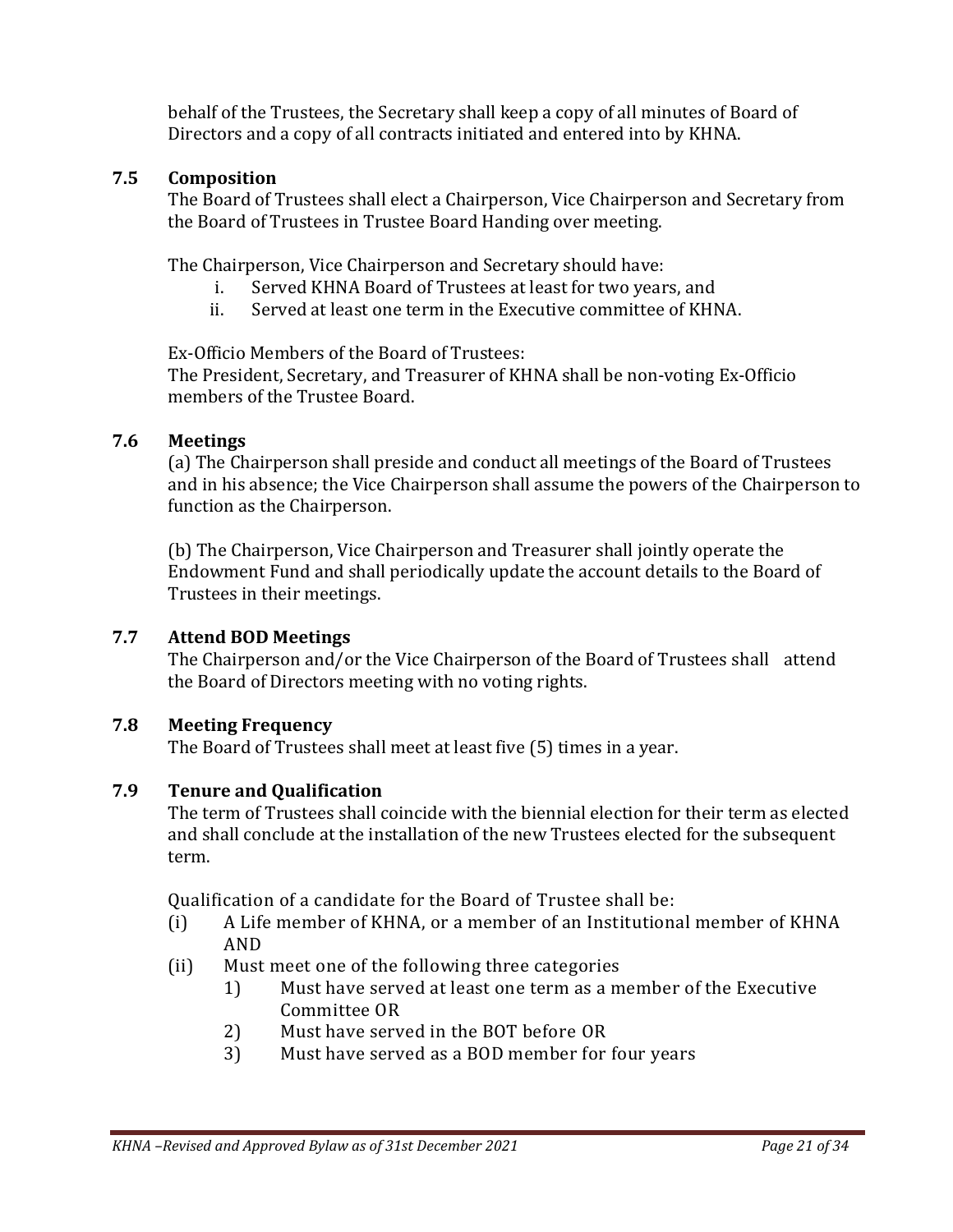behalf of the Trustees, the Secretary shall keep a copy of all minutes of Board of Directors and a copy of all contracts initiated and entered into by KHNA.

#### <span id="page-20-0"></span>**7.5 Composition**

The Board of Trustees shall elect a Chairperson, Vice Chairperson and Secretary from the Board of Trustees in Trustee Board Handing over meeting.

The Chairperson, Vice Chairperson and Secretary should have:

- i. Served KHNA Board of Trustees at least for two years, and
- ii. Served at least one term in the Executive committee of KHNA.

Ex-Officio Members of the Board of Trustees:

The President, Secretary, and Treasurer of KHNA shall be non-voting Ex-Officio members of the Trustee Board.

#### <span id="page-20-1"></span>**7.6 Meetings**

(a) The Chairperson shall preside and conduct all meetings of the Board of Trustees and in his absence; the Vice Chairperson shall assume the powers of the Chairperson to function as the Chairperson.

(b) The Chairperson, Vice Chairperson and Treasurer shall jointly operate the Endowment Fund and shall periodically update the account details to the Board of Trustees in their meetings.

### <span id="page-20-2"></span>**7.7 Attend BOD Meetings**

The Chairperson and/or the Vice Chairperson of the Board of Trustees shall attend the Board of Directors meeting with no voting rights.

#### <span id="page-20-3"></span>**7.8 Meeting Frequency**

The Board of Trustees shall meet at least five (5) times in a year.

#### <span id="page-20-4"></span>**7.9 Tenure and Qualification**

The term of Trustees shall coincide with the biennial election for their term as elected and shall conclude at the installation of the new Trustees elected for the subsequent term.

Qualification of a candidate for the Board of Trustee shall be:

- (i) A Life member of KHNA, or a member of an Institutional member of KHNA AND
- (ii) Must meet one of the following three categories
	- 1) Must have served at least one term as a member of the Executive Committee OR
	- 2) Must have served in the BOT before OR
	- 3) Must have served as a BOD member for four years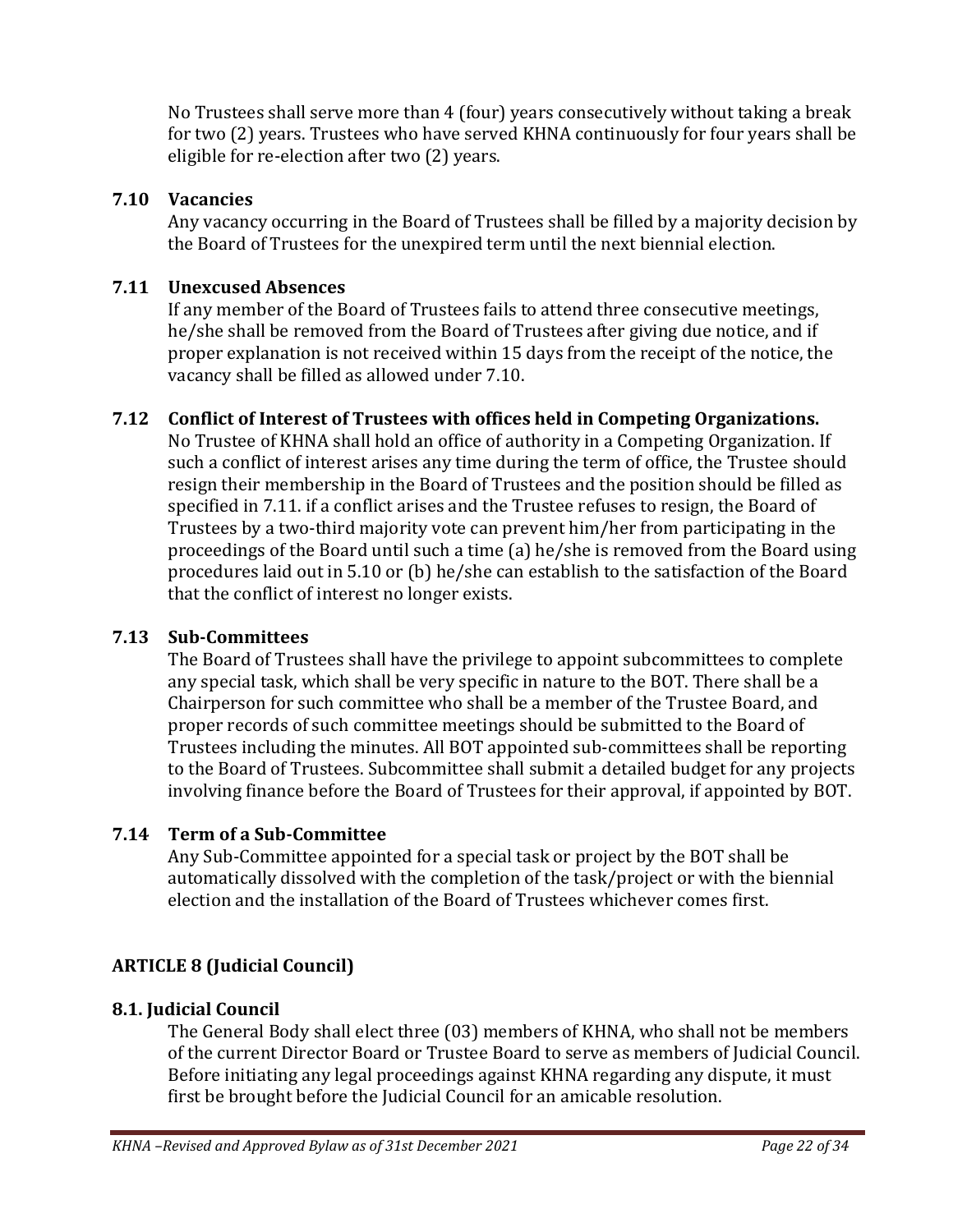No Trustees shall serve more than 4 (four) years consecutively without taking a break for two (2) years. Trustees who have served KHNA continuously for four years shall be eligible for re-election after two (2) years.

#### <span id="page-21-0"></span>**7.10 Vacancies**

Any vacancy occurring in the Board of Trustees shall be filled by a majority decision by the Board of Trustees for the unexpired term until the next biennial election.

#### <span id="page-21-1"></span>**7.11 Unexcused Absences**

If any member of the Board of Trustees fails to attend three consecutive meetings, he/she shall be removed from the Board of Trustees after giving due notice, and if proper explanation is not received within 15 days from the receipt of the notice, the vacancy shall be filled as allowed under 7.10.

### <span id="page-21-2"></span>**7.12 Conflict of Interest of Trustees with offices held in Competing Organizations.**

No Trustee of KHNA shall hold an office of authority in a Competing Organization. If such a conflict of interest arises any time during the term of office, the Trustee should resign their membership in the Board of Trustees and the position should be filled as specified in 7.11. if a conflict arises and the Trustee refuses to resign, the Board of Trustees by a two-third majority vote can prevent him/her from participating in the proceedings of the Board until such a time (a) he/she is removed from the Board using procedures laid out in 5.10 or (b) he/she can establish to the satisfaction of the Board that the conflict of interest no longer exists.

### <span id="page-21-3"></span>**7.13 Sub-Committees**

The Board of Trustees shall have the privilege to appoint subcommittees to complete any special task, which shall be very specific in nature to the BOT. There shall be a Chairperson for such committee who shall be a member of the Trustee Board, and proper records of such committee meetings should be submitted to the Board of Trustees including the minutes. All BOT appointed sub-committees shall be reporting to the Board of Trustees. Subcommittee shall submit a detailed budget for any projects involving finance before the Board of Trustees for their approval, if appointed by BOT.

### <span id="page-21-4"></span>**7.14 Term of a Sub-Committee**

Any Sub-Committee appointed for a special task or project by the BOT shall be automatically dissolved with the completion of the task/project or with the biennial election and the installation of the Board of Trustees whichever comes first.

### <span id="page-21-5"></span>**ARTICLE 8 (Judicial Council)**

#### <span id="page-21-6"></span>**8.1. Judicial Council**

The General Body shall elect three (03) members of KHNA, who shall not be members of the current Director Board or Trustee Board to serve as members of Judicial Council. Before initiating any legal proceedings against KHNA regarding any dispute, it must first be brought before the Judicial Council for an amicable resolution.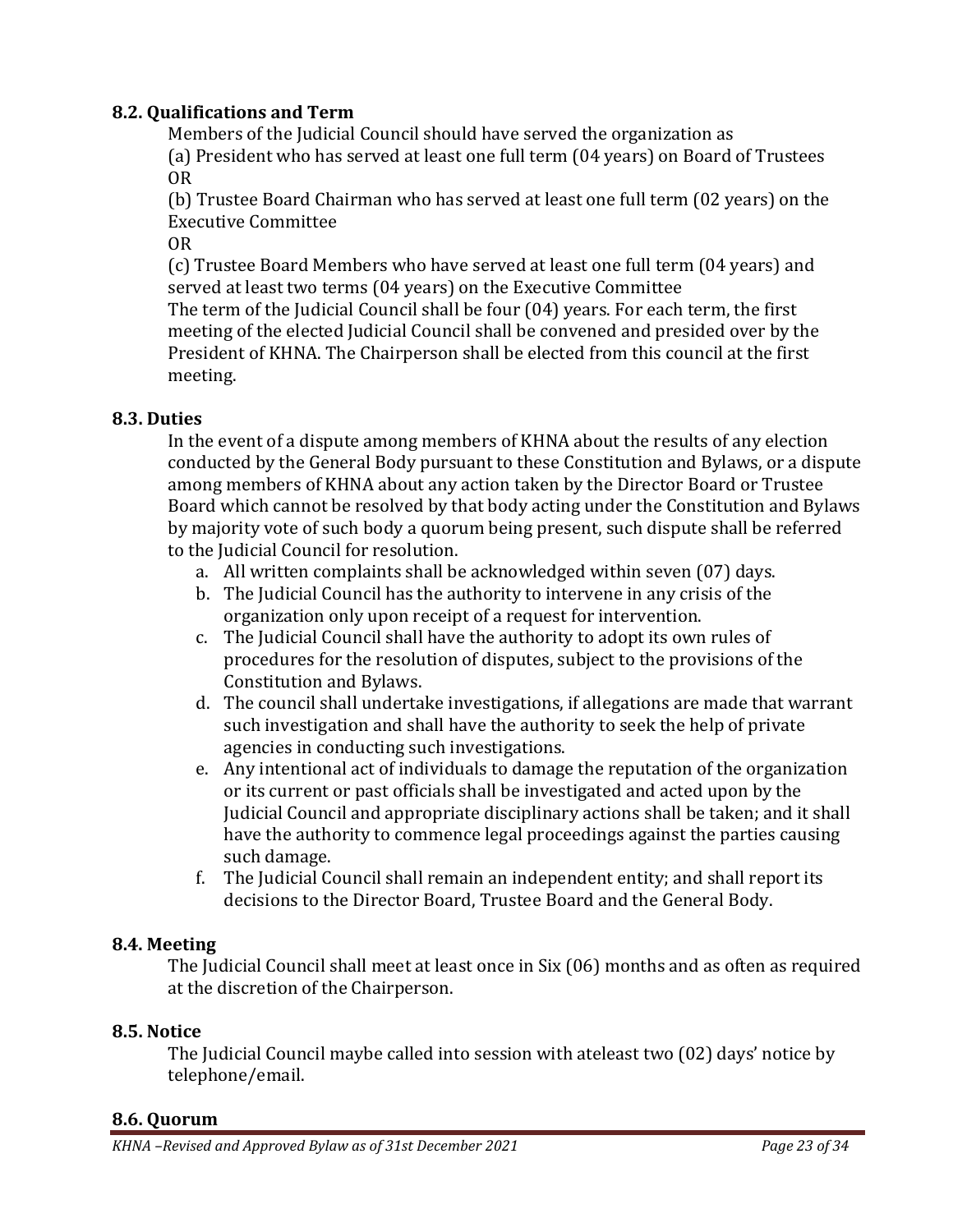#### <span id="page-22-0"></span>**8.2. Qualifications and Term**

Members of the Judicial Council should have served the organization as

(a) President who has served at least one full term (04 years) on Board of Trustees OR

(b) Trustee Board Chairman who has served at least one full term (02 years) on the Executive Committee

OR

(c) Trustee Board Members who have served at least one full term (04 years) and served at least two terms (04 years) on the Executive Committee The term of the Judicial Council shall be four (04) years. For each term, the first meeting of the elected Judicial Council shall be convened and presided over by the President of KHNA. The Chairperson shall be elected from this council at the first meeting.

#### <span id="page-22-1"></span>**8.3. Duties**

In the event of a dispute among members of KHNA about the results of any election conducted by the General Body pursuant to these Constitution and Bylaws, or a dispute among members of KHNA about any action taken by the Director Board or Trustee Board which cannot be resolved by that body acting under the Constitution and Bylaws by majority vote of such body a quorum being present, such dispute shall be referred to the Judicial Council for resolution.

- a. All written complaints shall be acknowledged within seven (07) days.
- b. The Judicial Council has the authority to intervene in any crisis of the organization only upon receipt of a request for intervention.
- c. The Judicial Council shall have the authority to adopt its own rules of procedures for the resolution of disputes, subject to the provisions of the Constitution and Bylaws.
- d. The council shall undertake investigations, if allegations are made that warrant such investigation and shall have the authority to seek the help of private agencies in conducting such investigations.
- e. Any intentional act of individuals to damage the reputation of the organization or its current or past officials shall be investigated and acted upon by the Judicial Council and appropriate disciplinary actions shall be taken; and it shall have the authority to commence legal proceedings against the parties causing such damage.
- f. The Judicial Council shall remain an independent entity; and shall report its decisions to the Director Board, Trustee Board and the General Body.

#### <span id="page-22-2"></span>**8.4. Meeting**

The Judicial Council shall meet at least once in Six (06) months and as often as required at the discretion of the Chairperson.

#### <span id="page-22-3"></span>**8.5. Notice**

The Judicial Council maybe called into session with ateleast two (02) days' notice by telephone/email.

#### <span id="page-22-4"></span>**8.6. Quorum**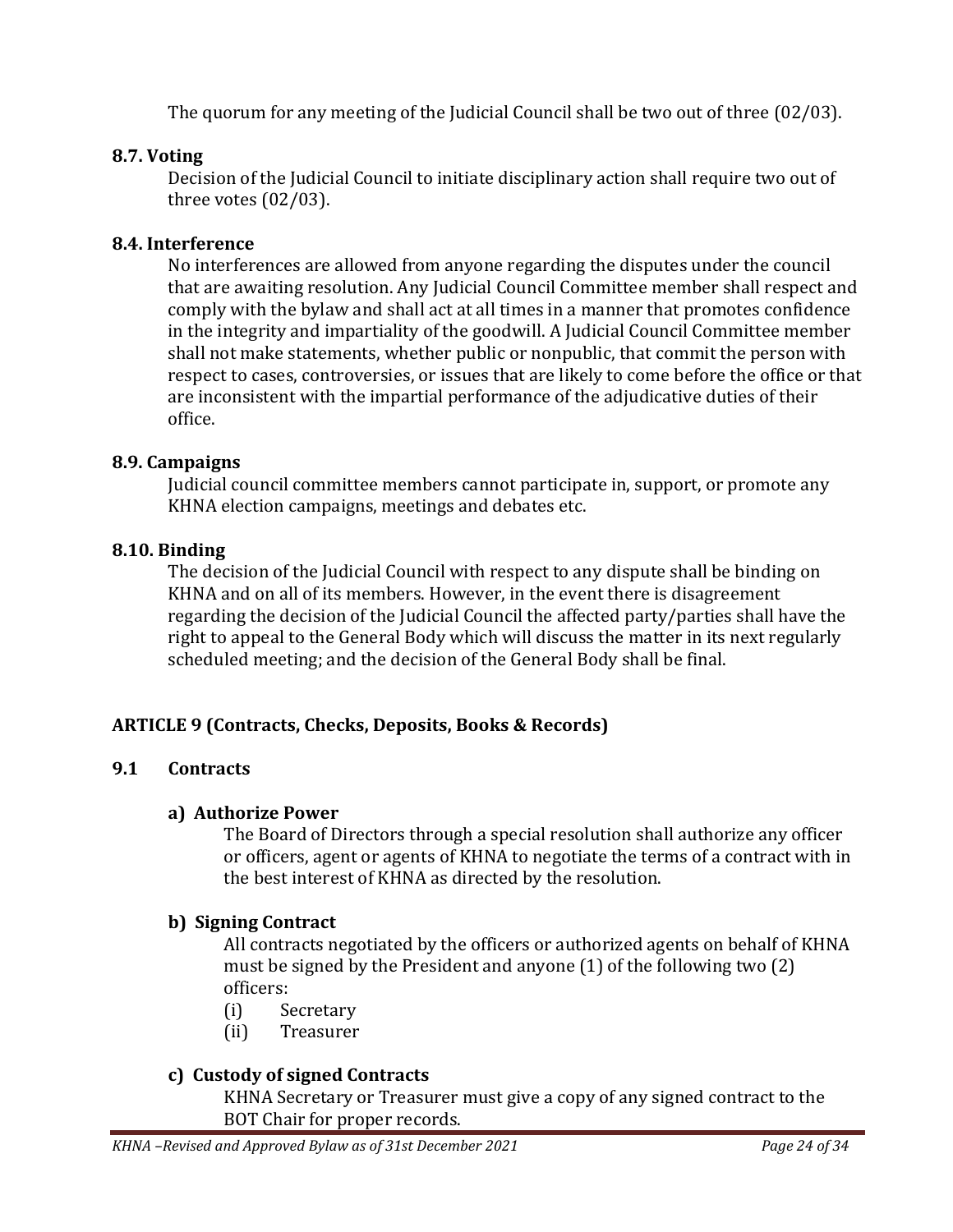The quorum for any meeting of the Judicial Council shall be two out of three (02/03).

#### <span id="page-23-0"></span>**8.7. Voting**

Decision of the Judicial Council to initiate disciplinary action shall require two out of three votes (02/03).

#### <span id="page-23-1"></span>**8.4. Interference**

No interferences are allowed from anyone regarding the disputes under the council that are awaiting resolution. Any Judicial Council Committee member shall respect and comply with the bylaw and shall act at all times in a manner that promotes confidence in the integrity and impartiality of the goodwill. A Judicial Council Committee member shall not make statements, whether public or nonpublic, that commit the person with respect to cases, controversies, or issues that are likely to come before the office or that are inconsistent with the impartial performance of the adjudicative duties of their office.

#### <span id="page-23-2"></span>**8.9. Campaigns**

Judicial council committee members cannot participate in, support, or promote any KHNA election campaigns, meetings and debates etc.

#### <span id="page-23-3"></span>**8.10. Binding**

The decision of the Judicial Council with respect to any dispute shall be binding on KHNA and on all of its members. However, in the event there is disagreement regarding the decision of the Judicial Council the affected party/parties shall have the right to appeal to the General Body which will discuss the matter in its next regularly scheduled meeting; and the decision of the General Body shall be final.

#### <span id="page-23-4"></span>**ARTICLE 9 (Contracts, Checks, Deposits, Books & Records)**

#### <span id="page-23-5"></span>**9.1 Contracts**

#### **a) Authorize Power**

The Board of Directors through a special resolution shall authorize any officer or officers, agent or agents of KHNA to negotiate the terms of a contract with in the best interest of KHNA as directed by the resolution.

#### **b) Signing Contract**

All contracts negotiated by the officers or authorized agents on behalf of KHNA must be signed by the President and anyone (1) of the following two (2) officers:

- (i) Secretary
- (ii) Treasurer

#### **c) Custody of signed Contracts**

KHNA Secretary or Treasurer must give a copy of any signed contract to the BOT Chair for proper records.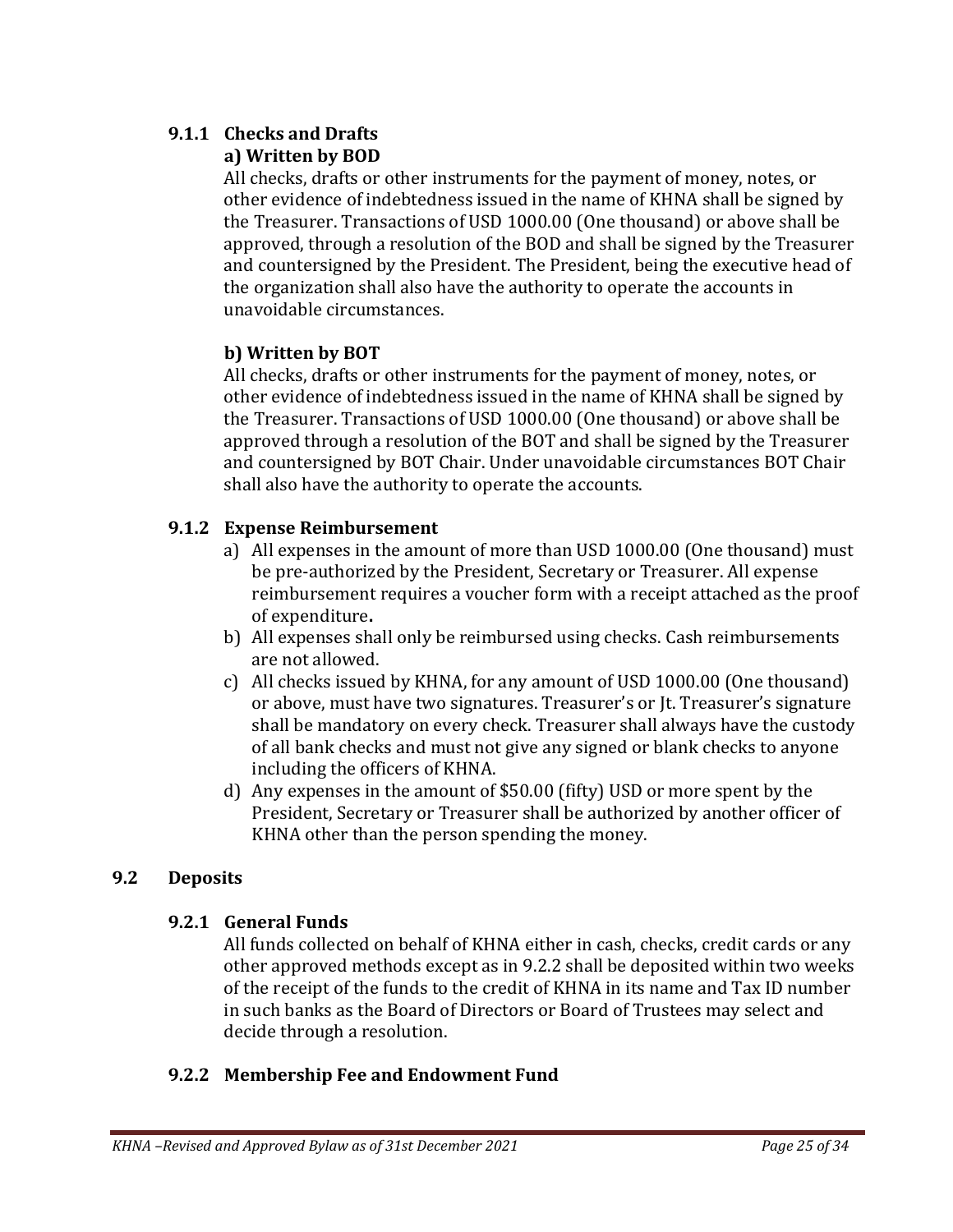# <span id="page-24-0"></span>**9.1.1 Checks and Drafts**

## **a) Written by BOD**

All checks, drafts or other instruments for the payment of money, notes, or other evidence of indebtedness issued in the name of KHNA shall be signed by the Treasurer. Transactions of USD 1000.00 (One thousand) or above shall be approved, through a resolution of the BOD and shall be signed by the Treasurer and countersigned by the President. The President, being the executive head of the organization shall also have the authority to operate the accounts in unavoidable circumstances.

## **b) Written by BOT**

All checks, drafts or other instruments for the payment of money, notes, or other evidence of indebtedness issued in the name of KHNA shall be signed by the Treasurer. Transactions of USD 1000.00 (One thousand) or above shall be approved through a resolution of the BOT and shall be signed by the Treasurer and countersigned by BOT Chair. Under unavoidable circumstances BOT Chair shall also have the authority to operate the accounts.

## <span id="page-24-1"></span>**9.1.2 Expense Reimbursement**

- a) All expenses in the amount of more than USD 1000.00 (One thousand) must be pre-authorized by the President, Secretary or Treasurer. All expense reimbursement requires a voucher form with a receipt attached as the proof of expenditure**.**
- b) All expenses shall only be reimbursed using checks. Cash reimbursements are not allowed.
- c) All checks issued by KHNA, for any amount of USD 1000.00 (One thousand) or above, must have two signatures. Treasurer's or Jt. Treasurer's signature shall be mandatory on every check. Treasurer shall always have the custody of all bank checks and must not give any signed or blank checks to anyone including the officers of KHNA.
- d) Any expenses in the amount of \$50.00 (fifty) USD or more spent by the President, Secretary or Treasurer shall be authorized by another officer of KHNA other than the person spending the money.

## <span id="page-24-3"></span><span id="page-24-2"></span>**9.2 Deposits**

### **9.2.1 General Funds**

All funds collected on behalf of KHNA either in cash, checks, credit cards or any other approved methods except as in 9.2.2 shall be deposited within two weeks of the receipt of the funds to the credit of KHNA in its name and Tax ID number in such banks as the Board of Directors or Board of Trustees may select and decide through a resolution.

### <span id="page-24-4"></span>**9.2.2 Membership Fee and Endowment Fund**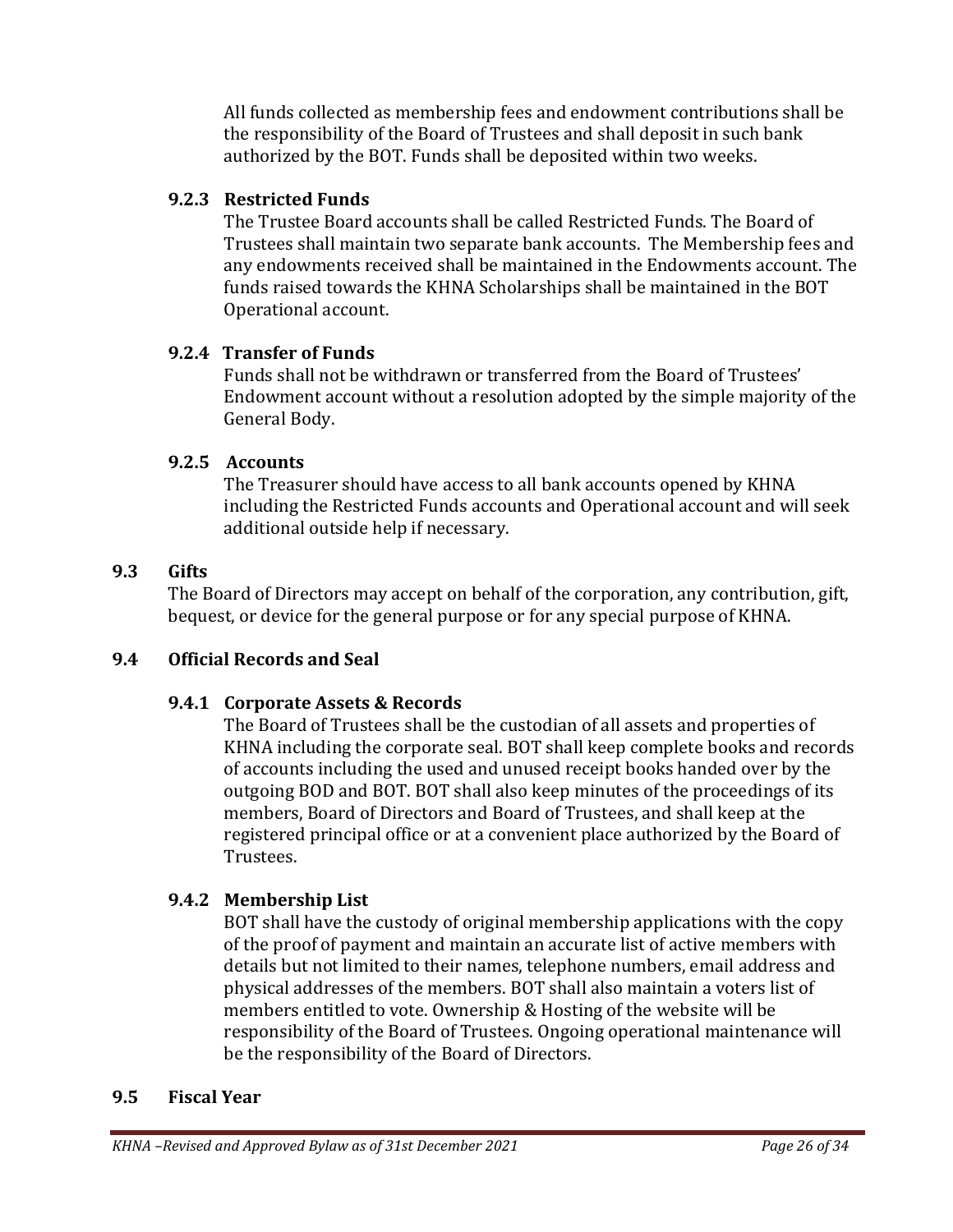All funds collected as membership fees and endowment contributions shall be the responsibility of the Board of Trustees and shall deposit in such bank authorized by the BOT. Funds shall be deposited within two weeks.

### <span id="page-25-0"></span>**9.2.3 Restricted Funds**

The Trustee Board accounts shall be called Restricted Funds. The Board of Trustees shall maintain two separate bank accounts. The Membership fees and any endowments received shall be maintained in the Endowments account. The funds raised towards the KHNA Scholarships shall be maintained in the BOT Operational account.

## <span id="page-25-1"></span>**9.2.4 Transfer of Funds**

Funds shall not be withdrawn or transferred from the Board of Trustees' Endowment account without a resolution adopted by the simple majority of the General Body.

## <span id="page-25-2"></span>**9.2.5 Accounts**

The Treasurer should have access to all bank accounts opened by KHNA including the Restricted Funds accounts and Operational account and will seek additional outside help if necessary.

## <span id="page-25-3"></span>**9.3 Gifts**

The Board of Directors may accept on behalf of the corporation, any contribution, gift, bequest, or device for the general purpose or for any special purpose of KHNA.

## <span id="page-25-5"></span><span id="page-25-4"></span>**9.4 Official Records and Seal**

## **9.4.1 Corporate Assets & Records**

The Board of Trustees shall be the custodian of all assets and properties of KHNA including the corporate seal. BOT shall keep complete books and records of accounts including the used and unused receipt books handed over by the outgoing BOD and BOT. BOT shall also keep minutes of the proceedings of its members, Board of Directors and Board of Trustees, and shall keep at the registered principal office or at a convenient place authorized by the Board of Trustees.

## <span id="page-25-6"></span>**9.4.2 Membership List**

BOT shall have the custody of original membership applications with the copy of the proof of payment and maintain an accurate list of active members with details but not limited to their names, telephone numbers, email address and physical addresses of the members. BOT shall also maintain a voters list of members entitled to vote. Ownership & Hosting of the website will be responsibility of the Board of Trustees. Ongoing operational maintenance will be the responsibility of the Board of Directors.

### <span id="page-25-7"></span>**9.5 Fiscal Year**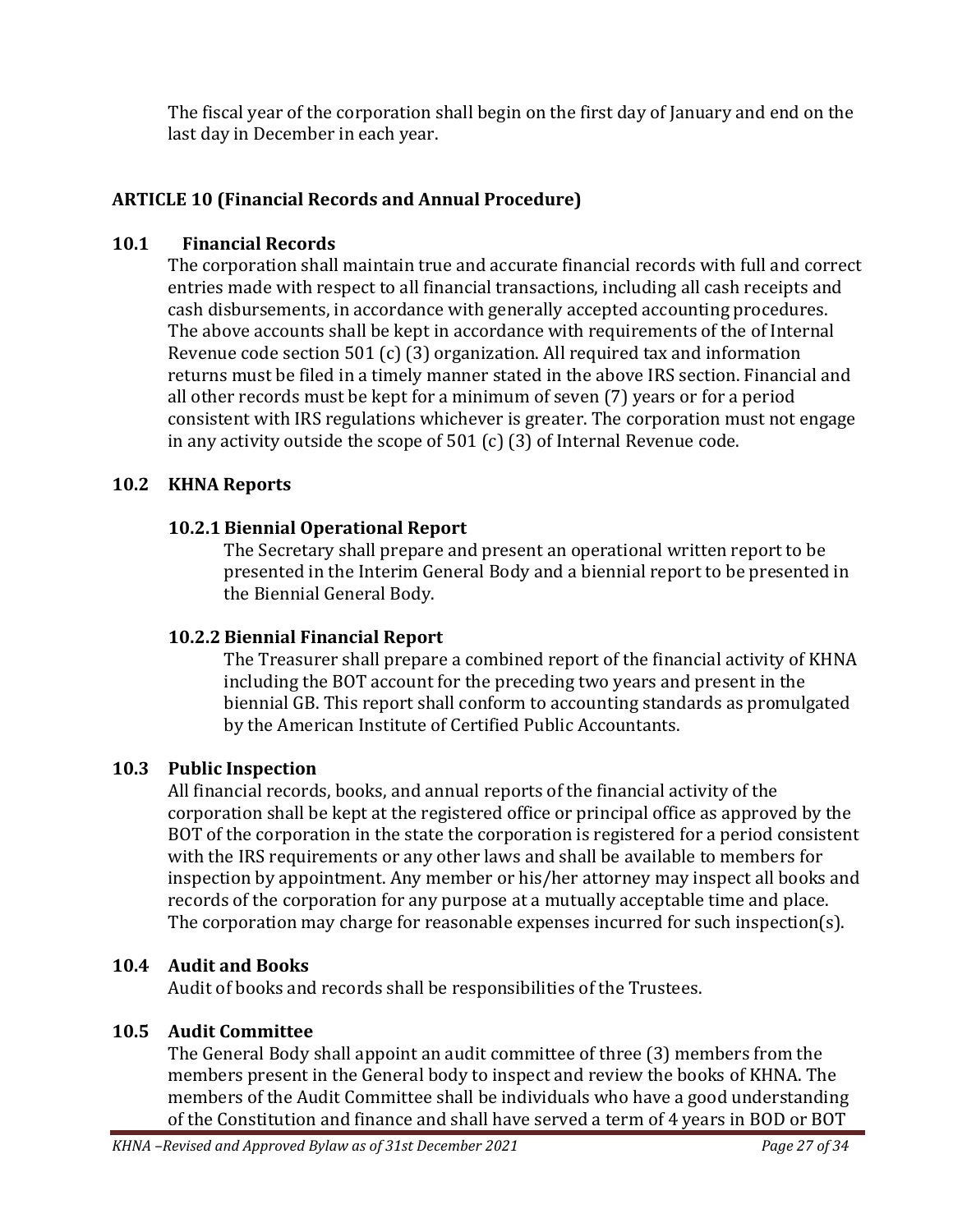The fiscal year of the corporation shall begin on the first day of January and end on the last day in December in each year.

## <span id="page-26-0"></span>**ARTICLE 10 (Financial Records and Annual Procedure)**

#### <span id="page-26-1"></span>**10.1 Financial Records**

The corporation shall maintain true and accurate financial records with full and correct entries made with respect to all financial transactions, including all cash receipts and cash disbursements, in accordance with generally accepted accounting procedures. The above accounts shall be kept in accordance with requirements of the of Internal Revenue code section 501 (c) (3) organization. All required tax and information returns must be filed in a timely manner stated in the above IRS section. Financial and all other records must be kept for a minimum of seven (7) years or for a period consistent with IRS regulations whichever is greater. The corporation must not engage in any activity outside the scope of 501 (c) (3) of Internal Revenue code.

#### <span id="page-26-3"></span><span id="page-26-2"></span>**10.2 KHNA Reports**

### **10.2.1 Biennial Operational Report**

The Secretary shall prepare and present an operational written report to be presented in the Interim General Body and a biennial report to be presented in the Biennial General Body.

### <span id="page-26-4"></span>**10.2.2 Biennial Financial Report**

The Treasurer shall prepare a combined report of the financial activity of KHNA including the BOT account for the preceding two years and present in the biennial GB. This report shall conform to accounting standards as promulgated by the American Institute of Certified Public Accountants.

### <span id="page-26-5"></span>**10.3 Public Inspection**

All financial records, books, and annual reports of the financial activity of the corporation shall be kept at the registered office or principal office as approved by the BOT of the corporation in the state the corporation is registered for a period consistent with the IRS requirements or any other laws and shall be available to members for inspection by appointment. Any member or his/her attorney may inspect all books and records of the corporation for any purpose at a mutually acceptable time and place. The corporation may charge for reasonable expenses incurred for such inspection(s).

#### <span id="page-26-6"></span>**10.4 Audit and Books**

Audit of books and records shall be responsibilities of the Trustees.

### <span id="page-26-7"></span>**10.5 Audit Committee**

The General Body shall appoint an audit committee of three (3) members from the members present in the General body to inspect and review the books of KHNA. The members of the Audit Committee shall be individuals who have a good understanding of the Constitution and finance and shall have served a term of 4 years in BOD or BOT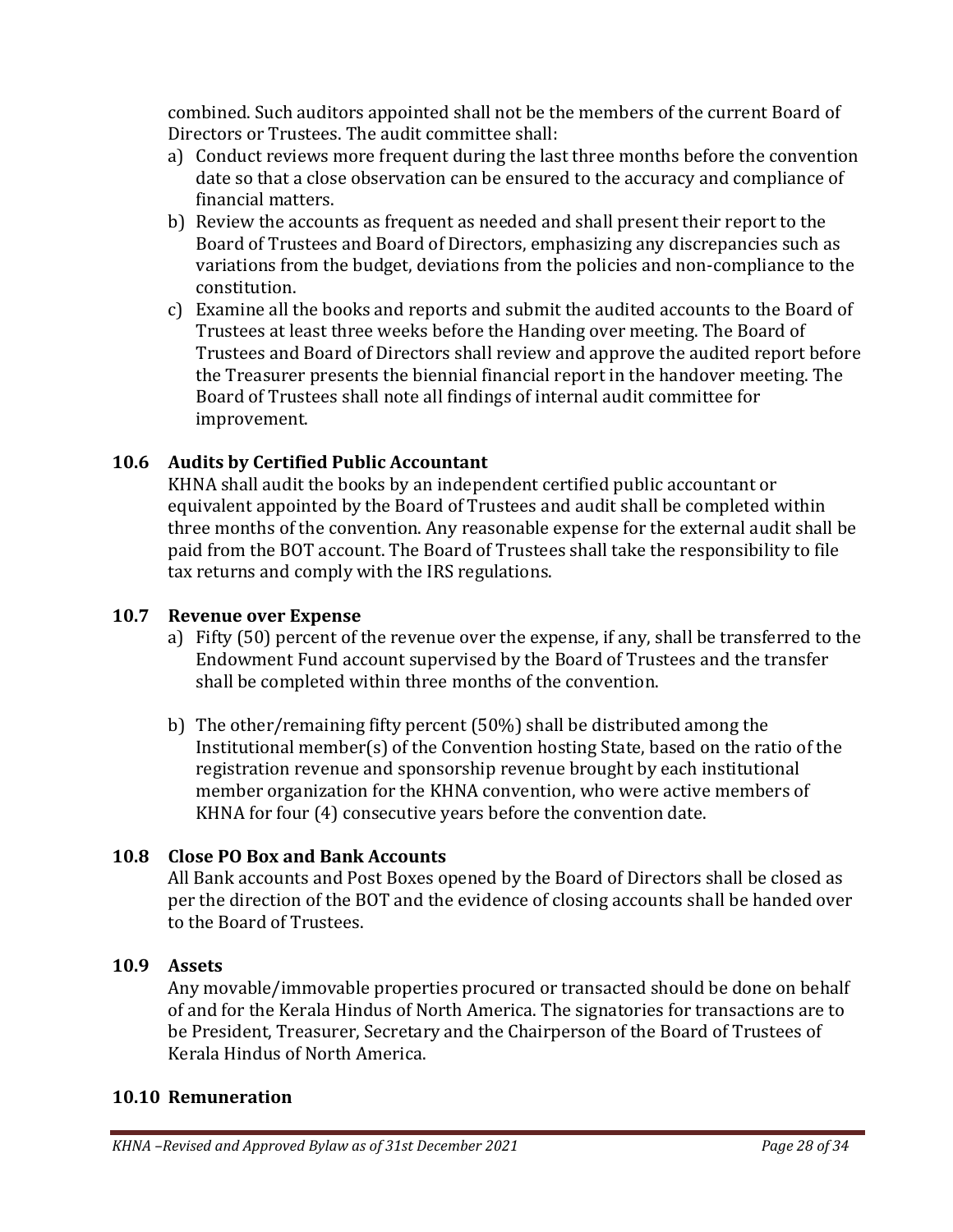combined. Such auditors appointed shall not be the members of the current Board of Directors or Trustees. The audit committee shall:

- a) Conduct reviews more frequent during the last three months before the convention date so that a close observation can be ensured to the accuracy and compliance of financial matters.
- b) Review the accounts as frequent as needed and shall present their report to the Board of Trustees and Board of Directors, emphasizing any discrepancies such as variations from the budget, deviations from the policies and non-compliance to the constitution.
- c) Examine all the books and reports and submit the audited accounts to the Board of Trustees at least three weeks before the Handing over meeting. The Board of Trustees and Board of Directors shall review and approve the audited report before the Treasurer presents the biennial financial report in the handover meeting. The Board of Trustees shall note all findings of internal audit committee for improvement.

## <span id="page-27-0"></span>**10.6 Audits by Certified Public Accountant**

KHNA shall audit the books by an independent certified public accountant or equivalent appointed by the Board of Trustees and audit shall be completed within three months of the convention. Any reasonable expense for the external audit shall be paid from the BOT account. The Board of Trustees shall take the responsibility to file tax returns and comply with the IRS regulations.

### <span id="page-27-1"></span>**10.7 Revenue over Expense**

- a) Fifty (50) percent of the revenue over the expense, if any, shall be transferred to the Endowment Fund account supervised by the Board of Trustees and the transfer shall be completed within three months of the convention.
- b) The other/remaining fifty percent (50%) shall be distributed among the Institutional member(s) of the Convention hosting State, based on the ratio of the registration revenue and sponsorship revenue brought by each institutional member organization for the KHNA convention, who were active members of KHNA for four (4) consecutive years before the convention date.

### <span id="page-27-2"></span>**10.8 Close PO Box and Bank Accounts**

All Bank accounts and Post Boxes opened by the Board of Directors shall be closed as per the direction of the BOT and the evidence of closing accounts shall be handed over to the Board of Trustees.

#### <span id="page-27-3"></span>**10.9 Assets**

Any movable/immovable properties procured or transacted should be done on behalf of and for the Kerala Hindus of North America. The signatories for transactions are to be President, Treasurer, Secretary and the Chairperson of the Board of Trustees of Kerala Hindus of North America.

#### <span id="page-27-4"></span>**10.10 Remuneration**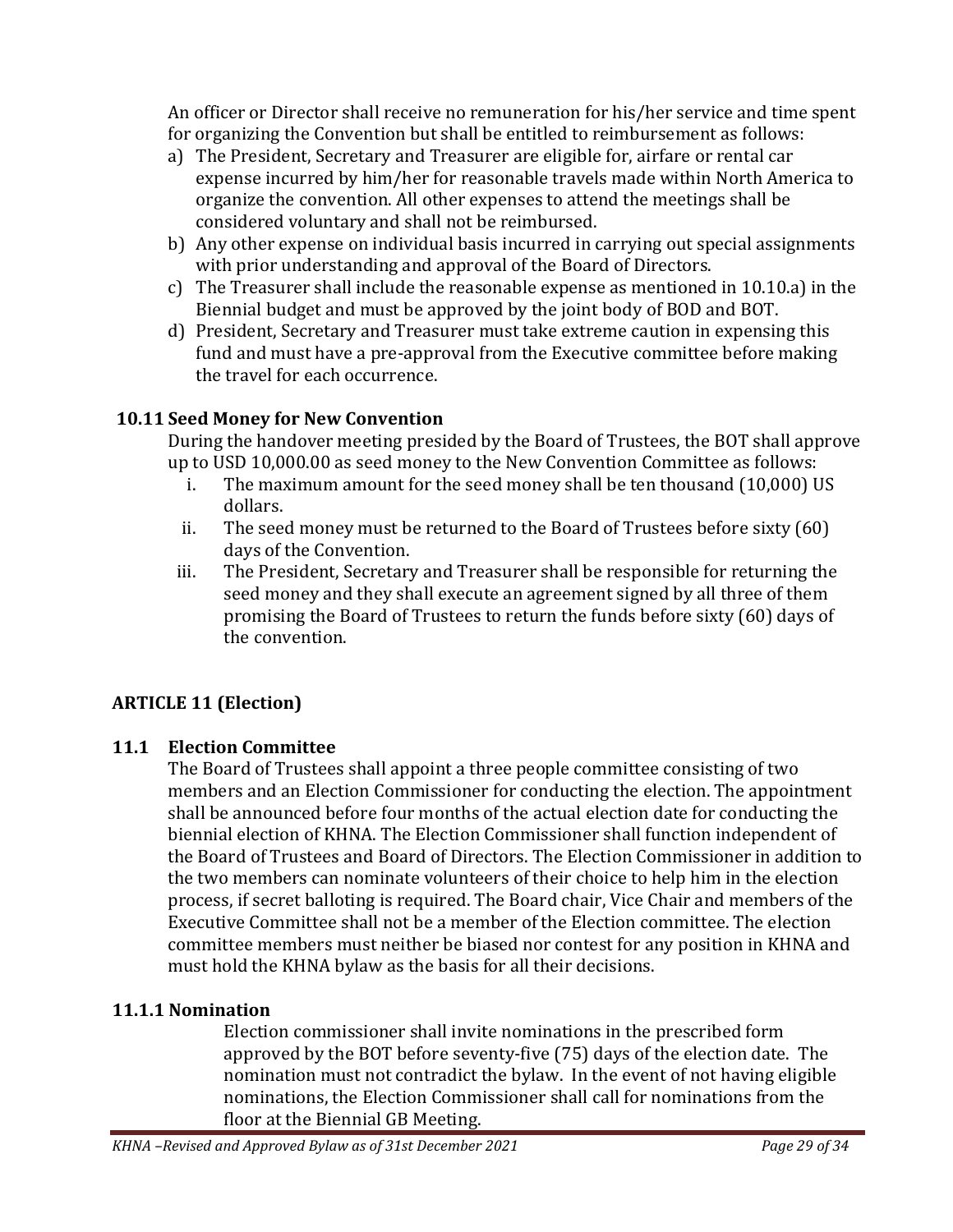An officer or Director shall receive no remuneration for his/her service and time spent for organizing the Convention but shall be entitled to reimbursement as follows:

- a) The President, Secretary and Treasurer are eligible for, airfare or rental car expense incurred by him/her for reasonable travels made within North America to organize the convention. All other expenses to attend the meetings shall be considered voluntary and shall not be reimbursed.
- b) Any other expense on individual basis incurred in carrying out special assignments with prior understanding and approval of the Board of Directors.
- c) The Treasurer shall include the reasonable expense as mentioned in 10.10.a) in the Biennial budget and must be approved by the joint body of BOD and BOT.
- d) President, Secretary and Treasurer must take extreme caution in expensing this fund and must have a pre-approval from the Executive committee before making the travel for each occurrence.

## <span id="page-28-0"></span>**10.11 Seed Money for New Convention**

During the handover meeting presided by the Board of Trustees, the BOT shall approve up to USD 10,000.00 as seed money to the New Convention Committee as follows:

- i. The maximum amount for the seed money shall be ten thousand (10,000) US dollars.
- ii. The seed money must be returned to the Board of Trustees before sixty (60) days of the Convention.
- iii. The President, Secretary and Treasurer shall be responsible for returning the seed money and they shall execute an agreement signed by all three of them promising the Board of Trustees to return the funds before sixty (60) days of the convention.

# <span id="page-28-1"></span>**ARTICLE 11 (Election)**

### <span id="page-28-2"></span>**11.1 Election Committee**

The Board of Trustees shall appoint a three people committee consisting of two members and an Election Commissioner for conducting the election. The appointment shall be announced before four months of the actual election date for conducting the biennial election of KHNA. The Election Commissioner shall function independent of the Board of Trustees and Board of Directors. The Election Commissioner in addition to the two members can nominate volunteers of their choice to help him in the election process, if secret balloting is required. The Board chair, Vice Chair and members of the Executive Committee shall not be a member of the Election committee. The election committee members must neither be biased nor contest for any position in KHNA and must hold the KHNA bylaw as the basis for all their decisions.

## <span id="page-28-3"></span>**11.1.1 Nomination**

Election commissioner shall invite nominations in the prescribed form approved by the BOT before seventy-five (75) days of the election date. The nomination must not contradict the bylaw. In the event of not having eligible nominations, the Election Commissioner shall call for nominations from the floor at the Biennial GB Meeting.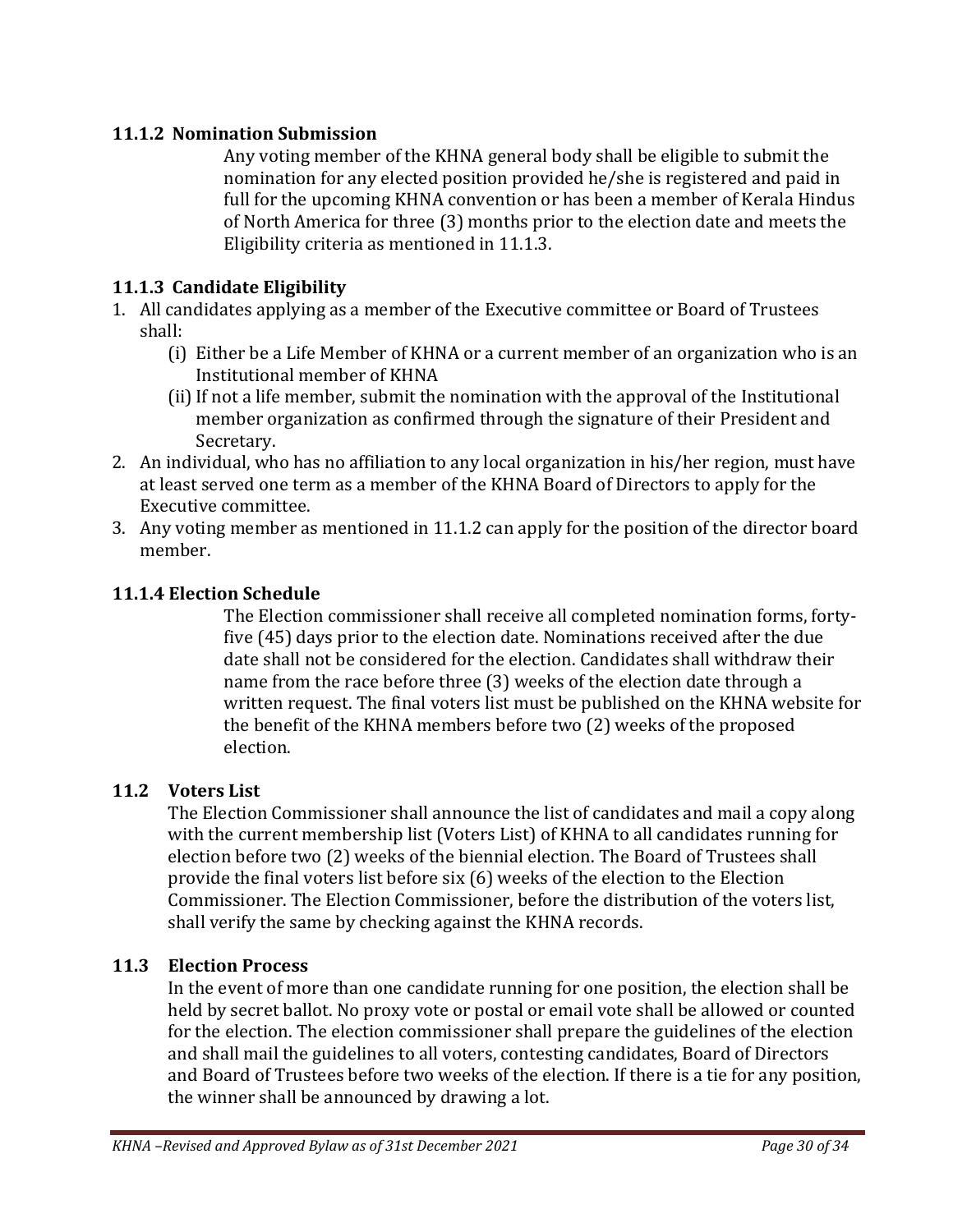### <span id="page-29-0"></span>**11.1.2 Nomination Submission**

Any voting member of the KHNA general body shall be eligible to submit the nomination for any elected position provided he/she is registered and paid in full for the upcoming KHNA convention or has been a member of Kerala Hindus of North America for three (3) months prior to the election date and meets the Eligibility criteria as mentioned in 11.1.3.

#### <span id="page-29-1"></span>**11.1.3 Candidate Eligibility**

- 1. All candidates applying as a member of the Executive committee or Board of Trustees shall:
	- (i) Either be a Life Member of KHNA or a current member of an organization who is an Institutional member of KHNA
	- (ii) If not a life member, submit the nomination with the approval of the Institutional member organization as confirmed through the signature of their President and Secretary.
- 2. An individual, who has no affiliation to any local organization in his/her region, must have at least served one term as a member of the KHNA Board of Directors to apply for the Executive committee.
- 3. Any voting member as mentioned in 11.1.2 can apply for the position of the director board member.

#### <span id="page-29-2"></span>**11.1.4 Election Schedule**

The Election commissioner shall receive all completed nomination forms, fortyfive (45) days prior to the election date. Nominations received after the due date shall not be considered for the election. Candidates shall withdraw their name from the race before three (3) weeks of the election date through a written request. The final voters list must be published on the KHNA website for the benefit of the KHNA members before two (2) weeks of the proposed election.

#### <span id="page-29-3"></span>**11.2 Voters List**

The Election Commissioner shall announce the list of candidates and mail a copy along with the current membership list (Voters List) of KHNA to all candidates running for election before two (2) weeks of the biennial election. The Board of Trustees shall provide the final voters list before six (6) weeks of the election to the Election Commissioner. The Election Commissioner, before the distribution of the voters list, shall verify the same by checking against the KHNA records.

#### <span id="page-29-4"></span>**11.3 Election Process**

In the event of more than one candidate running for one position, the election shall be held by secret ballot. No proxy vote or postal or email vote shall be allowed or counted for the election. The election commissioner shall prepare the guidelines of the election and shall mail the guidelines to all voters, contesting candidates, Board of Directors and Board of Trustees before two weeks of the election. If there is a tie for any position, the winner shall be announced by drawing a lot.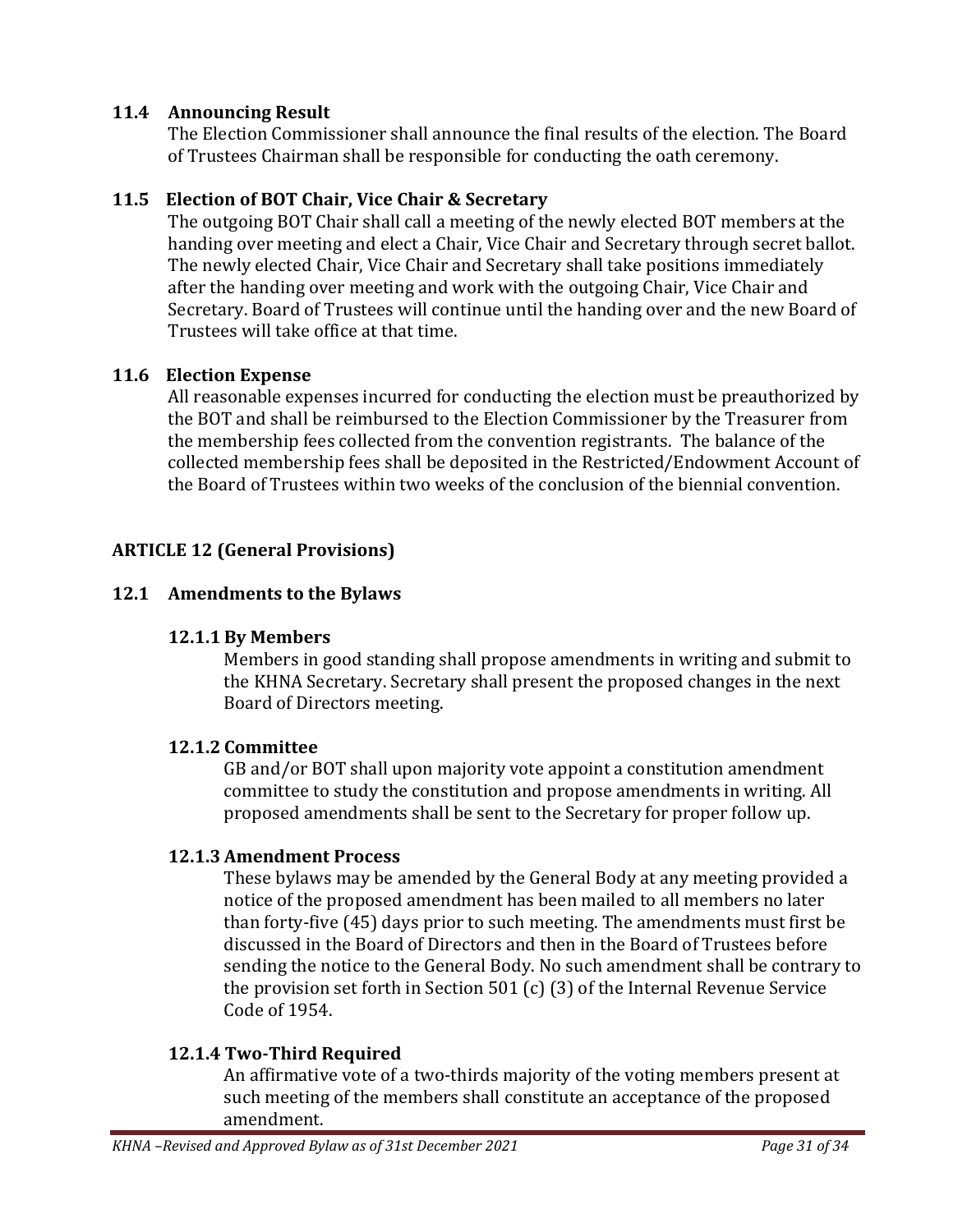#### <span id="page-30-0"></span>**11.4 Announcing Result**

The Election Commissioner shall announce the final results of the election. The Board of Trustees Chairman shall be responsible for conducting the oath ceremony.

#### <span id="page-30-1"></span>**11.5 Election of BOT Chair, Vice Chair & Secretary**

The outgoing BOT Chair shall call a meeting of the newly elected BOT members at the handing over meeting and elect a Chair, Vice Chair and Secretary through secret ballot. The newly elected Chair, Vice Chair and Secretary shall take positions immediately after the handing over meeting and work with the outgoing Chair, Vice Chair and Secretary. Board of Trustees will continue until the handing over and the new Board of Trustees will take office at that time.

#### <span id="page-30-2"></span>**11.6 Election Expense**

All reasonable expenses incurred for conducting the election must be preauthorized by the BOT and shall be reimbursed to the Election Commissioner by the Treasurer from the membership fees collected from the convention registrants. The balance of the collected membership fees shall be deposited in the Restricted/Endowment Account of the Board of Trustees within two weeks of the conclusion of the biennial convention.

### <span id="page-30-3"></span>**ARTICLE 12 (General Provisions)**

#### <span id="page-30-5"></span><span id="page-30-4"></span>**12.1 Amendments to the Bylaws**

#### **12.1.1 By Members**

Members in good standing shall propose amendments in writing and submit to the KHNA Secretary. Secretary shall present the proposed changes in the next Board of Directors meeting.

#### <span id="page-30-6"></span>**12.1.2 Committee**

GB and/or BOT shall upon majority vote appoint a constitution amendment committee to study the constitution and propose amendments in writing. All proposed amendments shall be sent to the Secretary for proper follow up.

#### <span id="page-30-7"></span>**12.1.3 Amendment Process**

These bylaws may be amended by the General Body at any meeting provided a notice of the proposed amendment has been mailed to all members no later than forty-five (45) days prior to such meeting. The amendments must first be discussed in the Board of Directors and then in the Board of Trustees before sending the notice to the General Body. No such amendment shall be contrary to the provision set forth in Section 501 (c) (3) of the Internal Revenue Service Code of 1954.

#### <span id="page-30-8"></span>**12.1.4 Two-Third Required**

An affirmative vote of a two-thirds majority of the voting members present at such meeting of the members shall constitute an acceptance of the proposed amendment.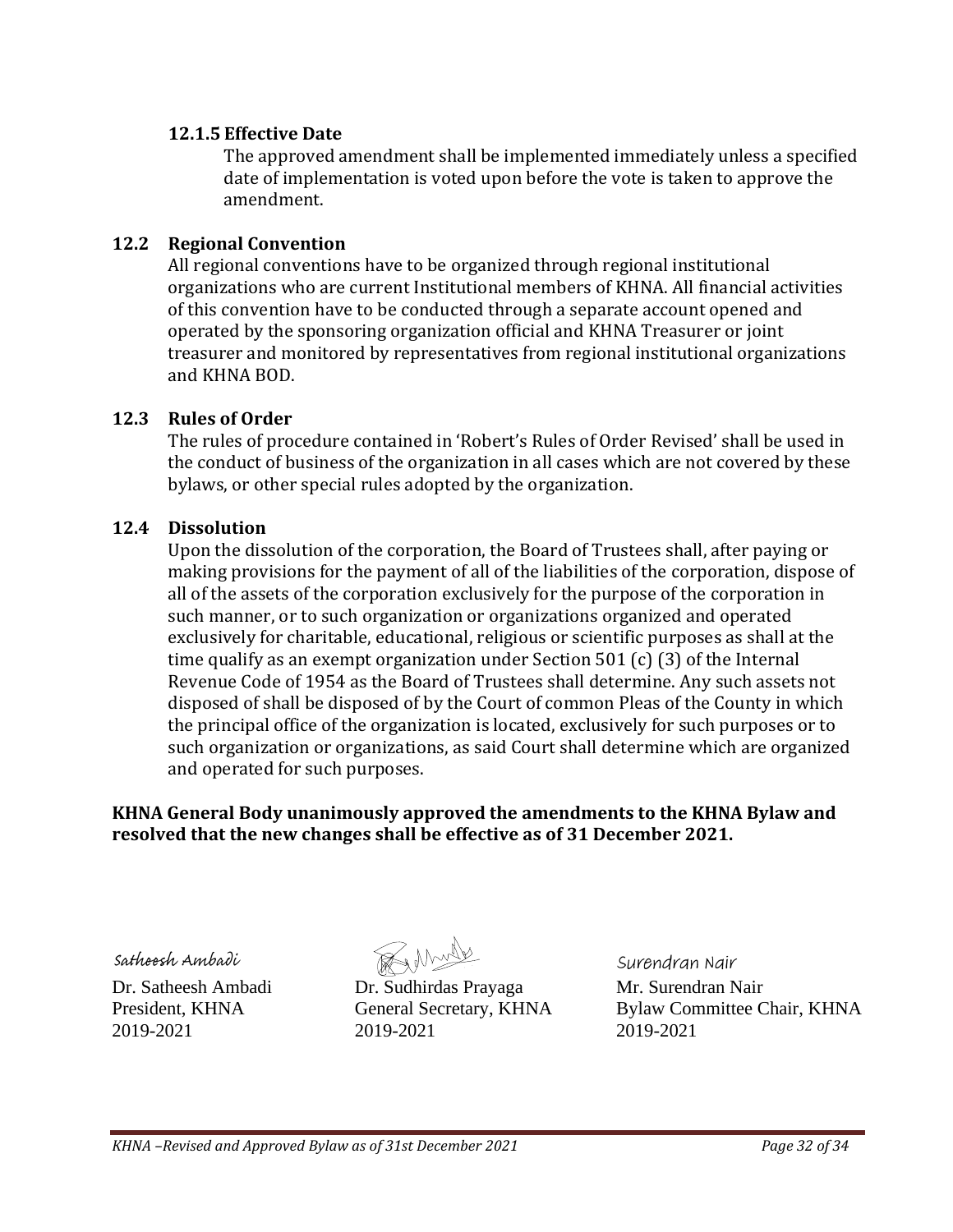#### <span id="page-31-0"></span>**12.1.5 Effective Date**

The approved amendment shall be implemented immediately unless a specified date of implementation is voted upon before the vote is taken to approve the amendment.

### <span id="page-31-1"></span>**12.2 Regional Convention**

All regional conventions have to be organized through regional institutional organizations who are current Institutional members of KHNA. All financial activities of this convention have to be conducted through a separate account opened and operated by the sponsoring organization official and KHNA Treasurer or joint treasurer and monitored by representatives from regional institutional organizations and KHNA BOD.

## <span id="page-31-2"></span>**12.3 Rules of Order**

The rules of procedure contained in 'Robert's Rules of Order Revised' shall be used in the conduct of business of the organization in all cases which are not covered by these bylaws, or other special rules adopted by the organization.

### <span id="page-31-3"></span>**12.4 Dissolution**

Upon the dissolution of the corporation, the Board of Trustees shall, after paying or making provisions for the payment of all of the liabilities of the corporation, dispose of all of the assets of the corporation exclusively for the purpose of the corporation in such manner, or to such organization or organizations organized and operated exclusively for charitable, educational, religious or scientific purposes as shall at the time qualify as an exempt organization under Section 501 (c) (3) of the Internal Revenue Code of 1954 as the Board of Trustees shall determine. Any such assets not disposed of shall be disposed of by the Court of common Pleas of the County in which the principal office of the organization is located, exclusively for such purposes or to such organization or organizations, as said Court shall determine which are organized and operated for such purposes.

### **KHNA General Body unanimously approved the amendments to the KHNA Bylaw and resolved that the new changes shall be effective as of 31 December 2021.**

Sathoosh Ambadi

Renne

Dr. Satheesh Ambadi Dr. Sudhirdas Prayaga Mr. Surendran Nair 2019-2021 2019-2021 2019-2021

Surendran Nair

President, KHNA General Secretary, KHNA Bylaw Committee Chair, KHNA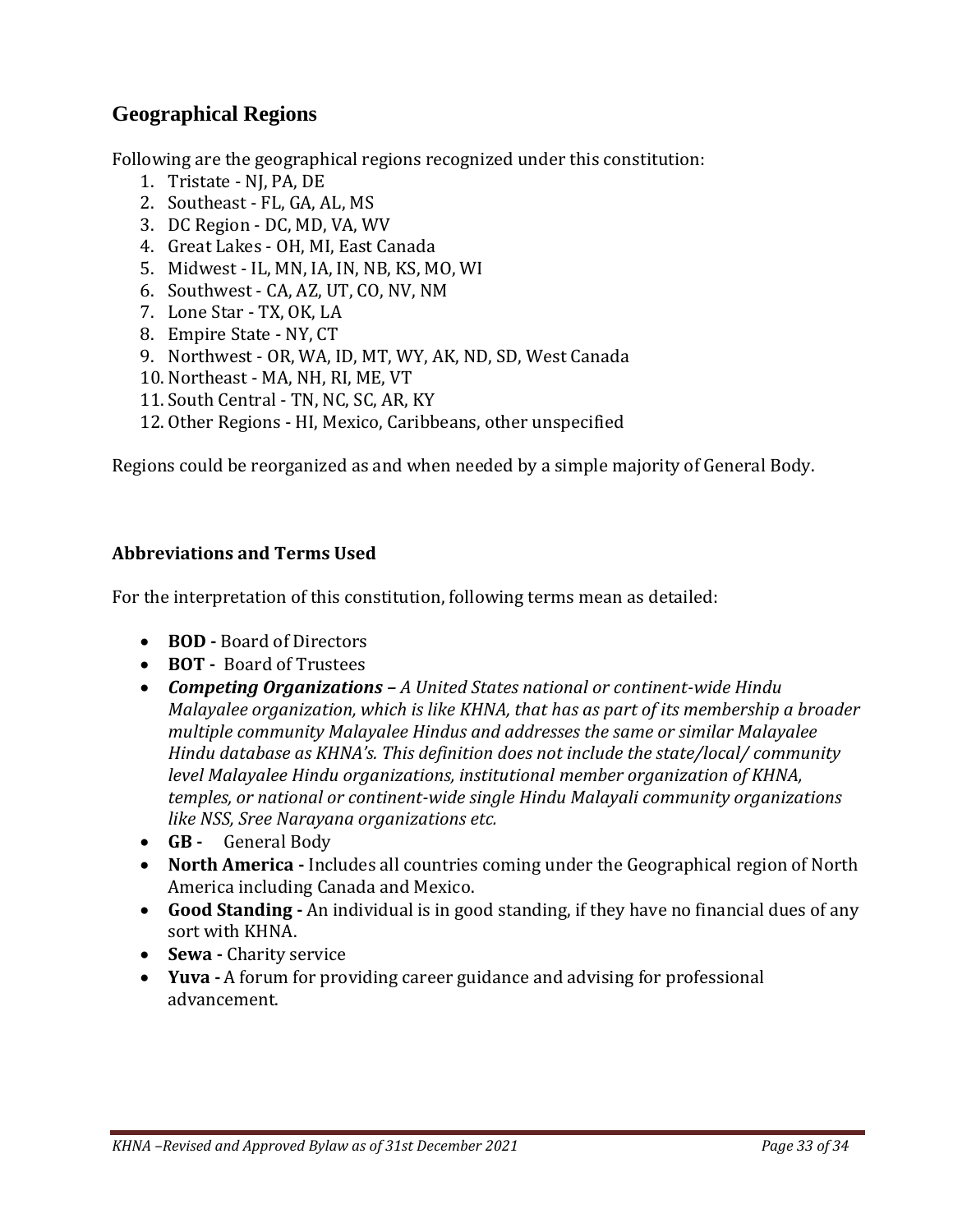# <span id="page-32-0"></span>**Geographical Regions**

Following are the geographical regions recognized under this constitution:

- 1. Tristate NJ, PA, DE
- 2. Southeast FL, GA, AL, MS
- 3. DC Region DC, MD, VA, WV
- 4. Great Lakes OH, MI, East Canada
- 5. Midwest IL, MN, IA, IN, NB, KS, MO, WI
- 6. Southwest CA, AZ, UT, CO, NV, NM
- 7. Lone Star TX, OK, LA
- 8. Empire State NY, CT
- 9. Northwest OR, WA, ID, MT, WY, AK, ND, SD, West Canada
- 10. Northeast MA, NH, RI, ME, VT
- 11. South Central TN, NC, SC, AR, KY
- 12. Other Regions HI, Mexico, Caribbeans, other unspecified

Regions could be reorganized as and when needed by a simple majority of General Body.

#### <span id="page-32-1"></span>**Abbreviations and Terms Used**

For the interpretation of this constitution, following terms mean as detailed:

- **BOD -** Board of Directors
- **BOT -** Board of Trustees
- *Competing Organizations – A United States national or continent-wide Hindu Malayalee organization, which is like KHNA, that has as part of its membership a broader multiple community Malayalee Hindus and addresses the same or similar Malayalee Hindu database as KHNA's. This definition does not include the state/local/ community level Malayalee Hindu organizations, institutional member organization of KHNA, temples, or national or continent-wide single Hindu Malayali community organizations like NSS, Sree Narayana organizations etc.*
- **GB -** General Body
- **North America -** Includes all countries coming under the Geographical region of North America including Canada and Mexico.
- **Good Standing -** An individual is in good standing, if they have no financial dues of any sort with KHNA.
- **Sewa -** Charity service
- **Yuva -** A forum for providing career guidance and advising for professional advancement.